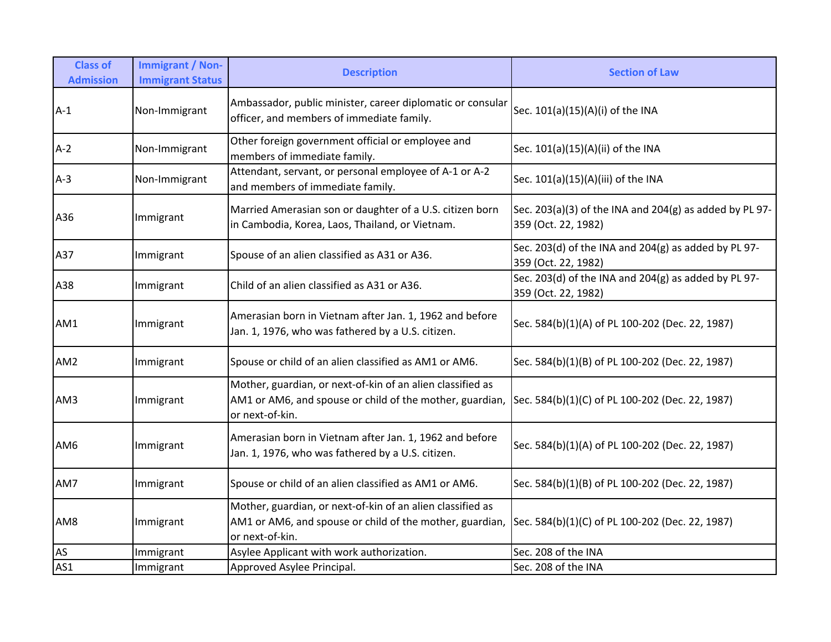| <b>Class of</b><br><b>Admission</b> | <b>Immigrant / Non-</b><br><b>Immigrant Status</b> | <b>Description</b>                                                                                                                        | <b>Section of Law</b>                                                          |
|-------------------------------------|----------------------------------------------------|-------------------------------------------------------------------------------------------------------------------------------------------|--------------------------------------------------------------------------------|
| $A-1$                               | Non-Immigrant                                      | Ambassador, public minister, career diplomatic or consular<br>officer, and members of immediate family.                                   | Sec. 101(a)(15)(A)(i) of the INA                                               |
| $A-2$                               | Non-Immigrant                                      | Other foreign government official or employee and<br>members of immediate family.                                                         | Sec. 101(a)(15)(A)(ii) of the INA                                              |
| $A-3$                               | Non-Immigrant                                      | Attendant, servant, or personal employee of A-1 or A-2<br>and members of immediate family.                                                | Sec. 101(a)(15)(A)(iii) of the INA                                             |
| A36                                 | Immigrant                                          | Married Amerasian son or daughter of a U.S. citizen born<br>in Cambodia, Korea, Laos, Thailand, or Vietnam.                               | Sec. 203(a)(3) of the INA and 204(g) as added by PL 97-<br>359 (Oct. 22, 1982) |
| A37                                 | Immigrant                                          | Spouse of an alien classified as A31 or A36.                                                                                              | Sec. 203(d) of the INA and 204(g) as added by PL 97-<br>359 (Oct. 22, 1982)    |
| A38                                 | Immigrant                                          | Child of an alien classified as A31 or A36.                                                                                               | Sec. 203(d) of the INA and 204(g) as added by PL 97-<br>359 (Oct. 22, 1982)    |
| AM1                                 | Immigrant                                          | Amerasian born in Vietnam after Jan. 1, 1962 and before<br>Jan. 1, 1976, who was fathered by a U.S. citizen.                              | Sec. 584(b)(1)(A) of PL 100-202 (Dec. 22, 1987)                                |
| AM <sub>2</sub>                     | Immigrant                                          | Spouse or child of an alien classified as AM1 or AM6.                                                                                     | Sec. 584(b)(1)(B) of PL 100-202 (Dec. 22, 1987)                                |
| AM3                                 | Immigrant                                          | Mother, guardian, or next-of-kin of an alien classified as<br>AM1 or AM6, and spouse or child of the mother, guardian,<br>or next-of-kin. | Sec. 584(b)(1)(C) of PL 100-202 (Dec. 22, 1987)                                |
| AM6                                 | Immigrant                                          | Amerasian born in Vietnam after Jan. 1, 1962 and before<br>Jan. 1, 1976, who was fathered by a U.S. citizen.                              | Sec. 584(b)(1)(A) of PL 100-202 (Dec. 22, 1987)                                |
| AM7                                 | Immigrant                                          | Spouse or child of an alien classified as AM1 or AM6.                                                                                     | Sec. 584(b)(1)(B) of PL 100-202 (Dec. 22, 1987)                                |
| AM8                                 | Immigrant                                          | Mother, guardian, or next-of-kin of an alien classified as<br>AM1 or AM6, and spouse or child of the mother, guardian,<br>or next-of-kin. | Sec. 584(b)(1)(C) of PL 100-202 (Dec. 22, 1987)                                |
| AS                                  | Immigrant                                          | Asylee Applicant with work authorization.                                                                                                 | Sec. 208 of the INA                                                            |
| AS1                                 | Immigrant                                          | Approved Asylee Principal.                                                                                                                | Sec. 208 of the INA                                                            |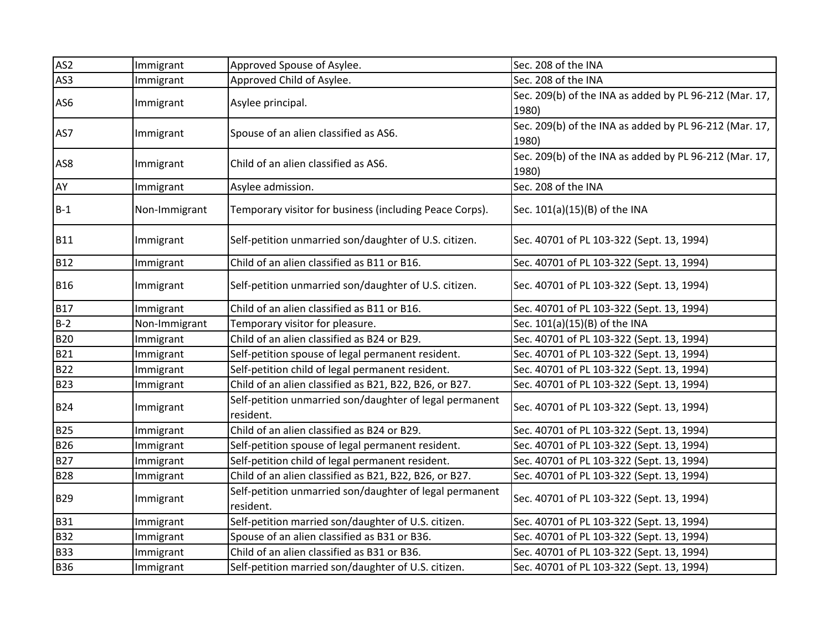| AS <sub>2</sub> | Immigrant     | Approved Spouse of Asylee.                                           | Sec. 208 of the INA                                    |
|-----------------|---------------|----------------------------------------------------------------------|--------------------------------------------------------|
| AS3             | Immigrant     | Approved Child of Asylee.                                            | Sec. 208 of the INA                                    |
| AS6             |               |                                                                      | Sec. 209(b) of the INA as added by PL 96-212 (Mar. 17, |
|                 | Immigrant     | Asylee principal.                                                    | 1980)                                                  |
| AS7             |               |                                                                      | Sec. 209(b) of the INA as added by PL 96-212 (Mar. 17, |
|                 | Immigrant     | Spouse of an alien classified as AS6.                                | 1980)                                                  |
| AS8             | Immigrant     | Child of an alien classified as AS6.                                 | Sec. 209(b) of the INA as added by PL 96-212 (Mar. 17, |
|                 |               |                                                                      | 1980)                                                  |
| AY              | Immigrant     | Asylee admission.                                                    | Sec. 208 of the INA                                    |
| $B-1$           | Non-Immigrant | Temporary visitor for business (including Peace Corps).              | Sec. 101(a)(15)(B) of the INA                          |
| <b>B11</b>      | Immigrant     | Self-petition unmarried son/daughter of U.S. citizen.                | Sec. 40701 of PL 103-322 (Sept. 13, 1994)              |
| <b>B12</b>      | Immigrant     | Child of an alien classified as B11 or B16.                          | Sec. 40701 of PL 103-322 (Sept. 13, 1994)              |
| <b>B16</b>      | Immigrant     | Self-petition unmarried son/daughter of U.S. citizen.                | Sec. 40701 of PL 103-322 (Sept. 13, 1994)              |
| <b>B17</b>      | Immigrant     | Child of an alien classified as B11 or B16.                          | Sec. 40701 of PL 103-322 (Sept. 13, 1994)              |
| $B-2$           | Non-Immigrant | Temporary visitor for pleasure.                                      | Sec. 101(a)(15)(B) of the INA                          |
| <b>B20</b>      | Immigrant     | Child of an alien classified as B24 or B29.                          | Sec. 40701 of PL 103-322 (Sept. 13, 1994)              |
| <b>B21</b>      | Immigrant     | Self-petition spouse of legal permanent resident.                    | Sec. 40701 of PL 103-322 (Sept. 13, 1994)              |
| <b>B22</b>      | Immigrant     | Self-petition child of legal permanent resident.                     | Sec. 40701 of PL 103-322 (Sept. 13, 1994)              |
| <b>B23</b>      | Immigrant     | Child of an alien classified as B21, B22, B26, or B27.               | Sec. 40701 of PL 103-322 (Sept. 13, 1994)              |
| <b>B24</b>      | Immigrant     | Self-petition unmarried son/daughter of legal permanent<br>resident. | Sec. 40701 of PL 103-322 (Sept. 13, 1994)              |
| <b>B25</b>      | Immigrant     | Child of an alien classified as B24 or B29.                          | Sec. 40701 of PL 103-322 (Sept. 13, 1994)              |
| <b>B26</b>      | Immigrant     | Self-petition spouse of legal permanent resident.                    | Sec. 40701 of PL 103-322 (Sept. 13, 1994)              |
| <b>B27</b>      | Immigrant     | Self-petition child of legal permanent resident.                     | Sec. 40701 of PL 103-322 (Sept. 13, 1994)              |
| <b>B28</b>      | Immigrant     | Child of an alien classified as B21, B22, B26, or B27.               | Sec. 40701 of PL 103-322 (Sept. 13, 1994)              |
| <b>B29</b>      | Immigrant     | Self-petition unmarried son/daughter of legal permanent<br>resident. | Sec. 40701 of PL 103-322 (Sept. 13, 1994)              |
| <b>B31</b>      | Immigrant     | Self-petition married son/daughter of U.S. citizen.                  | Sec. 40701 of PL 103-322 (Sept. 13, 1994)              |
| <b>B32</b>      | Immigrant     | Spouse of an alien classified as B31 or B36.                         | Sec. 40701 of PL 103-322 (Sept. 13, 1994)              |
| <b>B33</b>      | Immigrant     | Child of an alien classified as B31 or B36.                          | Sec. 40701 of PL 103-322 (Sept. 13, 1994)              |
| <b>B36</b>      | Immigrant     | Self-petition married son/daughter of U.S. citizen.                  | Sec. 40701 of PL 103-322 (Sept. 13, 1994)              |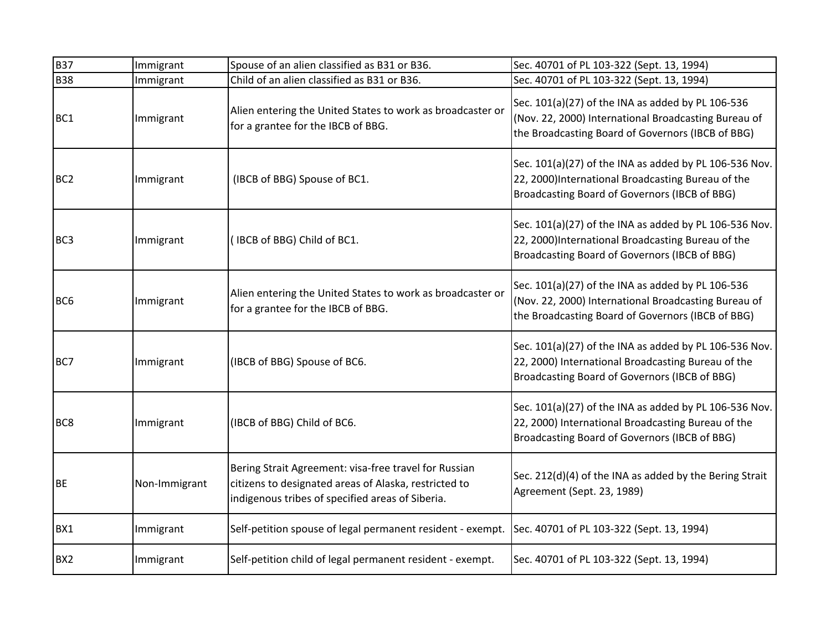| <b>B37</b>      | Immigrant     | Spouse of an alien classified as B31 or B36.                                                                                                                       | Sec. 40701 of PL 103-322 (Sept. 13, 1994)                                                                                                                      |
|-----------------|---------------|--------------------------------------------------------------------------------------------------------------------------------------------------------------------|----------------------------------------------------------------------------------------------------------------------------------------------------------------|
| <b>B38</b>      | Immigrant     | Child of an alien classified as B31 or B36.                                                                                                                        | Sec. 40701 of PL 103-322 (Sept. 13, 1994)                                                                                                                      |
| BC <sub>1</sub> | Immigrant     | Alien entering the United States to work as broadcaster or<br>for a grantee for the IBCB of BBG.                                                                   | Sec. 101(a)(27) of the INA as added by PL 106-536<br>(Nov. 22, 2000) International Broadcasting Bureau of<br>the Broadcasting Board of Governors (IBCB of BBG) |
| BC <sub>2</sub> | Immigrant     | (IBCB of BBG) Spouse of BC1.                                                                                                                                       | Sec. 101(a)(27) of the INA as added by PL 106-536 Nov.<br>22, 2000)International Broadcasting Bureau of the<br>Broadcasting Board of Governors (IBCB of BBG)   |
| BC <sub>3</sub> | Immigrant     | IBCB of BBG) Child of BC1.                                                                                                                                         | Sec. 101(a)(27) of the INA as added by PL 106-536 Nov.<br>22, 2000)International Broadcasting Bureau of the<br>Broadcasting Board of Governors (IBCB of BBG)   |
| BC <sub>6</sub> | Immigrant     | Alien entering the United States to work as broadcaster or<br>for a grantee for the IBCB of BBG.                                                                   | Sec. 101(a)(27) of the INA as added by PL 106-536<br>(Nov. 22, 2000) International Broadcasting Bureau of<br>the Broadcasting Board of Governors (IBCB of BBG) |
| BC7             | Immigrant     | (IBCB of BBG) Spouse of BC6.                                                                                                                                       | Sec. 101(a)(27) of the INA as added by PL 106-536 Nov.<br>22, 2000) International Broadcasting Bureau of the<br>Broadcasting Board of Governors (IBCB of BBG)  |
| BC <sub>8</sub> | Immigrant     | (IBCB of BBG) Child of BC6.                                                                                                                                        | Sec. 101(a)(27) of the INA as added by PL 106-536 Nov.<br>22, 2000) International Broadcasting Bureau of the<br>Broadcasting Board of Governors (IBCB of BBG)  |
| <b>BE</b>       | Non-Immigrant | Bering Strait Agreement: visa-free travel for Russian<br>citizens to designated areas of Alaska, restricted to<br>indigenous tribes of specified areas of Siberia. | Sec. 212(d)(4) of the INA as added by the Bering Strait<br>Agreement (Sept. 23, 1989)                                                                          |
| BX1             | Immigrant     | Self-petition spouse of legal permanent resident - exempt. Sec. 40701 of PL 103-322 (Sept. 13, 1994)                                                               |                                                                                                                                                                |
| BX <sub>2</sub> | Immigrant     | Self-petition child of legal permanent resident - exempt.                                                                                                          | Sec. 40701 of PL 103-322 (Sept. 13, 1994)                                                                                                                      |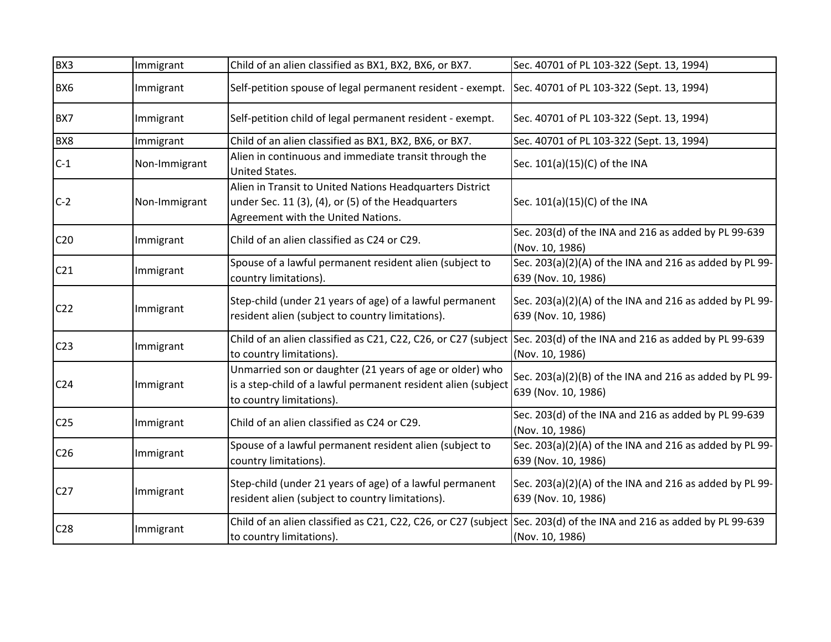| BX3             | Immigrant     | Child of an alien classified as BX1, BX2, BX6, or BX7.                                                                                                | Sec. 40701 of PL 103-322 (Sept. 13, 1994)                                      |
|-----------------|---------------|-------------------------------------------------------------------------------------------------------------------------------------------------------|--------------------------------------------------------------------------------|
| BX6             | Immigrant     | Self-petition spouse of legal permanent resident - exempt. Sec. 40701 of PL 103-322 (Sept. 13, 1994)                                                  |                                                                                |
| BX7             | Immigrant     | Self-petition child of legal permanent resident - exempt.                                                                                             | Sec. 40701 of PL 103-322 (Sept. 13, 1994)                                      |
| BX8             | Immigrant     | Child of an alien classified as BX1, BX2, BX6, or BX7.                                                                                                | Sec. 40701 of PL 103-322 (Sept. 13, 1994)                                      |
| $C-1$           | Non-Immigrant | Alien in continuous and immediate transit through the<br>United States.                                                                               | Sec. 101(a)(15)(C) of the INA                                                  |
| $C-2$           | Non-Immigrant | Alien in Transit to United Nations Headquarters District<br>under Sec. 11 (3), (4), or (5) of the Headquarters<br>Agreement with the United Nations.  | Sec. 101(a)(15)(C) of the INA                                                  |
| C <sub>20</sub> | Immigrant     | Child of an alien classified as C24 or C29.                                                                                                           | Sec. 203(d) of the INA and 216 as added by PL 99-639<br>(Nov. 10, 1986)        |
| C <sub>21</sub> | Immigrant     | Spouse of a lawful permanent resident alien (subject to<br>country limitations).                                                                      | Sec. 203(a)(2)(A) of the INA and 216 as added by PL 99-<br>639 (Nov. 10, 1986) |
| C <sub>22</sub> | Immigrant     | Step-child (under 21 years of age) of a lawful permanent<br>resident alien (subject to country limitations).                                          | Sec. 203(a)(2)(A) of the INA and 216 as added by PL 99-<br>639 (Nov. 10, 1986) |
| C <sub>23</sub> | Immigrant     | Child of an alien classified as C21, C22, C26, or C27 (subject Sec. 203(d) of the INA and 216 as added by PL 99-639<br>to country limitations).       | (Nov. 10, 1986)                                                                |
| C <sub>24</sub> | Immigrant     | Unmarried son or daughter (21 years of age or older) who<br>is a step-child of a lawful permanent resident alien (subject<br>to country limitations). | Sec. 203(a)(2)(B) of the INA and 216 as added by PL 99-<br>639 (Nov. 10, 1986) |
| C <sub>25</sub> | Immigrant     | Child of an alien classified as C24 or C29.                                                                                                           | Sec. 203(d) of the INA and 216 as added by PL 99-639<br>(Nov. 10, 1986)        |
| C <sub>26</sub> | Immigrant     | Spouse of a lawful permanent resident alien (subject to<br>country limitations).                                                                      | Sec. 203(a)(2)(A) of the INA and 216 as added by PL 99-<br>639 (Nov. 10, 1986) |
| C27             | Immigrant     | Step-child (under 21 years of age) of a lawful permanent<br>resident alien (subject to country limitations).                                          | Sec. 203(a)(2)(A) of the INA and 216 as added by PL 99-<br>639 (Nov. 10, 1986) |
| C <sub>28</sub> | Immigrant     | Child of an alien classified as C21, C22, C26, or C27 (subject Sec. 203(d) of the INA and 216 as added by PL 99-639<br>to country limitations).       | (Nov. 10, 1986)                                                                |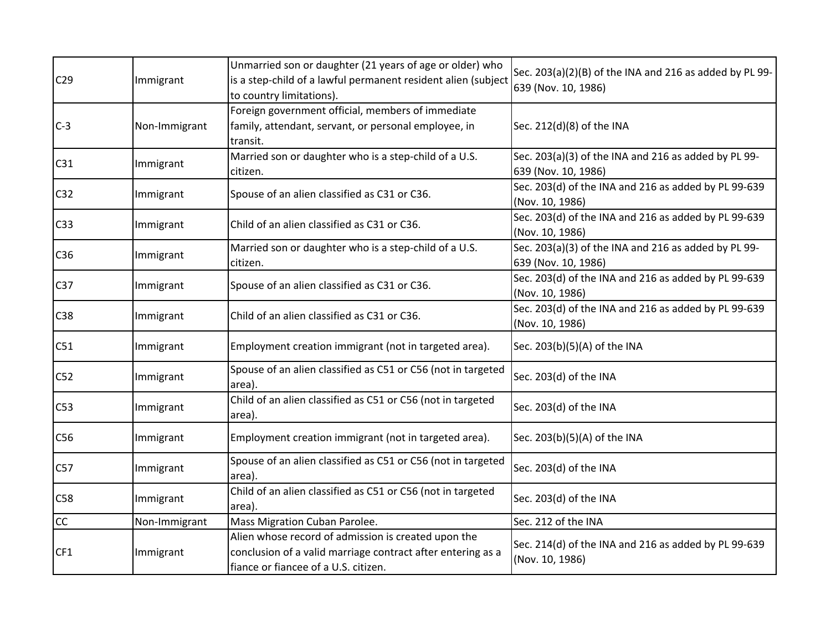| C <sub>29</sub> | Immigrant     | Unmarried son or daughter (21 years of age or older) who<br>is a step-child of a lawful permanent resident alien (subject<br>to country limitations).      | Sec. 203(a)(2)(B) of the INA and 216 as added by PL 99-<br>639 (Nov. 10, 1986) |
|-----------------|---------------|------------------------------------------------------------------------------------------------------------------------------------------------------------|--------------------------------------------------------------------------------|
| $C-3$           | Non-Immigrant | Foreign government official, members of immediate<br>family, attendant, servant, or personal employee, in<br>transit.                                      | Sec. 212(d)(8) of the INA                                                      |
| C31             | Immigrant     | Married son or daughter who is a step-child of a U.S.<br>citizen.                                                                                          | Sec. 203(a)(3) of the INA and 216 as added by PL 99-<br>639 (Nov. 10, 1986)    |
| C <sub>32</sub> | Immigrant     | Spouse of an alien classified as C31 or C36.                                                                                                               | Sec. 203(d) of the INA and 216 as added by PL 99-639<br>(Nov. 10, 1986)        |
| C <sub>33</sub> | Immigrant     | Child of an alien classified as C31 or C36.                                                                                                                | Sec. 203(d) of the INA and 216 as added by PL 99-639<br>(Nov. 10, 1986)        |
| C <sub>36</sub> | Immigrant     | Married son or daughter who is a step-child of a U.S.<br>citizen.                                                                                          | Sec. 203(a)(3) of the INA and 216 as added by PL 99-<br>639 (Nov. 10, 1986)    |
| C <sub>37</sub> | Immigrant     | Spouse of an alien classified as C31 or C36.                                                                                                               | Sec. 203(d) of the INA and 216 as added by PL 99-639<br>(Nov. 10, 1986)        |
| C38             | Immigrant     | Child of an alien classified as C31 or C36.                                                                                                                | Sec. 203(d) of the INA and 216 as added by PL 99-639<br>(Nov. 10, 1986)        |
| C51             | Immigrant     | Employment creation immigrant (not in targeted area).                                                                                                      | Sec. 203(b)(5)(A) of the INA                                                   |
| C52             | Immigrant     | Spouse of an alien classified as C51 or C56 (not in targeted<br>area).                                                                                     | Sec. 203(d) of the INA                                                         |
| C53             | Immigrant     | Child of an alien classified as C51 or C56 (not in targeted<br>area).                                                                                      | Sec. 203(d) of the INA                                                         |
| C <sub>56</sub> | Immigrant     | Employment creation immigrant (not in targeted area).                                                                                                      | Sec. 203(b)(5)(A) of the INA                                                   |
| C57             | Immigrant     | Spouse of an alien classified as C51 or C56 (not in targeted<br>area).                                                                                     | Sec. 203(d) of the INA                                                         |
| C58             | Immigrant     | Child of an alien classified as C51 or C56 (not in targeted<br>area).                                                                                      | Sec. 203(d) of the INA                                                         |
| <b>CC</b>       | Non-Immigrant | Mass Migration Cuban Parolee.                                                                                                                              | Sec. 212 of the INA                                                            |
| CF1             | Immigrant     | Alien whose record of admission is created upon the<br>conclusion of a valid marriage contract after entering as a<br>fiance or fiancee of a U.S. citizen. | Sec. 214(d) of the INA and 216 as added by PL 99-639<br>(Nov. 10, 1986)        |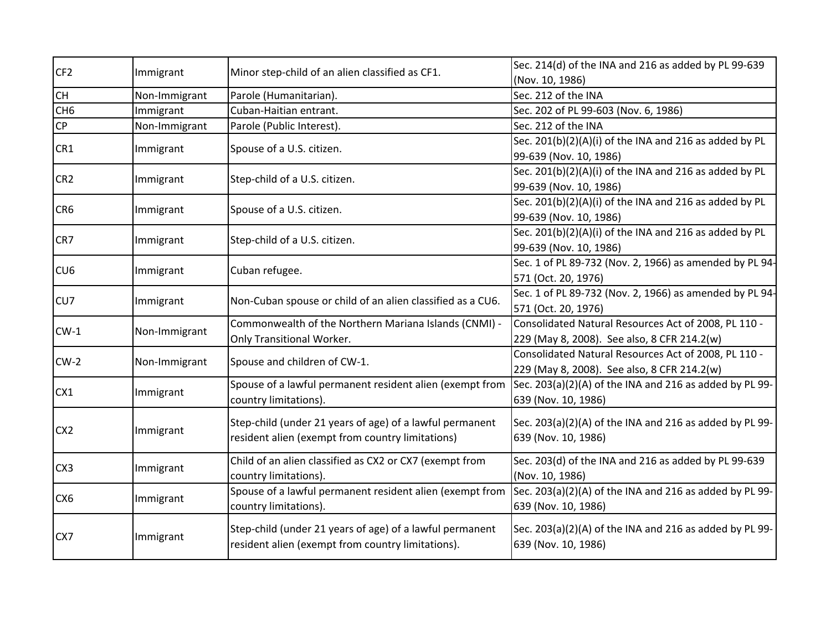| CF <sub>2</sub> | Immigrant     | Minor step-child of an alien classified as CF1.            | Sec. 214(d) of the INA and 216 as added by PL 99-639    |
|-----------------|---------------|------------------------------------------------------------|---------------------------------------------------------|
|                 |               |                                                            | (Nov. 10, 1986)                                         |
| <b>CH</b>       | Non-Immigrant | Parole (Humanitarian).                                     | Sec. 212 of the INA                                     |
| CH <sub>6</sub> | Immigrant     | Cuban-Haitian entrant.                                     | Sec. 202 of PL 99-603 (Nov. 6, 1986)                    |
| CP              | Non-Immigrant | Parole (Public Interest).                                  | Sec. 212 of the INA                                     |
| CR1             | Immigrant     | Spouse of a U.S. citizen.                                  | Sec. 201(b)(2)(A)(i) of the INA and 216 as added by PL  |
|                 |               |                                                            | 99-639 (Nov. 10, 1986)                                  |
| CR <sub>2</sub> | Immigrant     | Step-child of a U.S. citizen.                              | Sec. 201(b)(2)(A)(i) of the INA and 216 as added by PL  |
|                 |               |                                                            | 99-639 (Nov. 10, 1986)                                  |
| CR6             | Immigrant     | Spouse of a U.S. citizen.                                  | Sec. 201(b)(2)(A)(i) of the INA and 216 as added by PL  |
|                 |               |                                                            | 99-639 (Nov. 10, 1986)                                  |
| CR7             | Immigrant     | Step-child of a U.S. citizen.                              | Sec. 201(b)(2)(A)(i) of the INA and 216 as added by PL  |
|                 |               |                                                            | 99-639 (Nov. 10, 1986)                                  |
| CU <sub>6</sub> |               | Cuban refugee.                                             | Sec. 1 of PL 89-732 (Nov. 2, 1966) as amended by PL 94- |
|                 | Immigrant     |                                                            | 571 (Oct. 20, 1976)                                     |
|                 | Immigrant     | Non-Cuban spouse or child of an alien classified as a CU6. | Sec. 1 of PL 89-732 (Nov. 2, 1966) as amended by PL 94- |
| CU <sub>7</sub> |               |                                                            | 571 (Oct. 20, 1976)                                     |
|                 |               | Commonwealth of the Northern Mariana Islands (CNMI) -      | Consolidated Natural Resources Act of 2008, PL 110 -    |
| $CW-1$          | Non-Immigrant | Only Transitional Worker.                                  | 229 (May 8, 2008). See also, 8 CFR 214.2(w)             |
|                 |               | Spouse and children of CW-1.                               | Consolidated Natural Resources Act of 2008, PL 110 -    |
| $CW-2$          | Non-Immigrant |                                                            | 229 (May 8, 2008). See also, 8 CFR 214.2(w)             |
|                 |               | Spouse of a lawful permanent resident alien (exempt from   | Sec. 203(a)(2)(A) of the INA and 216 as added by PL 99- |
| CX <sub>1</sub> | Immigrant     | country limitations).                                      | 639 (Nov. 10, 1986)                                     |
|                 |               |                                                            |                                                         |
| CX <sub>2</sub> | Immigrant     | Step-child (under 21 years of age) of a lawful permanent   | Sec. 203(a)(2)(A) of the INA and 216 as added by PL 99- |
|                 |               | resident alien (exempt from country limitations)           | 639 (Nov. 10, 1986)                                     |
|                 |               | Child of an alien classified as CX2 or CX7 (exempt from    | Sec. 203(d) of the INA and 216 as added by PL 99-639    |
| CX <sub>3</sub> | Immigrant     | country limitations).                                      | (Nov. 10, 1986)                                         |
|                 |               | Spouse of a lawful permanent resident alien (exempt from   | Sec. 203(a)(2)(A) of the INA and 216 as added by PL 99- |
| CX <sub>6</sub> | Immigrant     | country limitations).                                      | 639 (Nov. 10, 1986)                                     |
|                 |               |                                                            |                                                         |
| CX7             | Immigrant     | Step-child (under 21 years of age) of a lawful permanent   | Sec. 203(a)(2)(A) of the INA and 216 as added by PL 99- |
|                 |               | resident alien (exempt from country limitations).          | 639 (Nov. 10, 1986)                                     |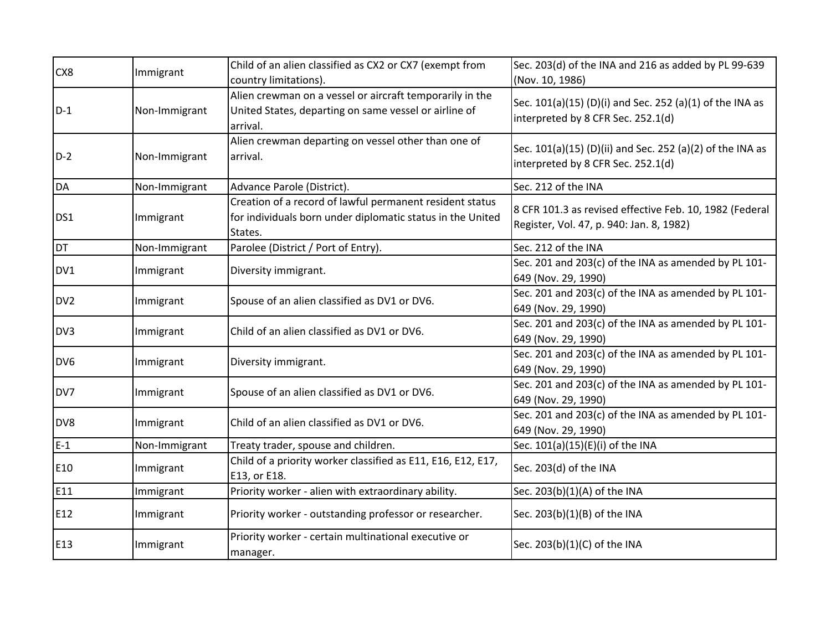| CX8             | Immigrant     | Child of an alien classified as CX2 or CX7 (exempt from<br>country limitations).                                                  | Sec. 203(d) of the INA and 216 as added by PL 99-639<br>(Nov. 10, 1986)                             |
|-----------------|---------------|-----------------------------------------------------------------------------------------------------------------------------------|-----------------------------------------------------------------------------------------------------|
| $D-1$           | Non-Immigrant | Alien crewman on a vessel or aircraft temporarily in the<br>United States, departing on same vessel or airline of<br>arrival.     | Sec. 101(a)(15) (D)(i) and Sec. 252 (a)(1) of the INA as<br>interpreted by 8 CFR Sec. 252.1(d)      |
| $D-2$           | Non-Immigrant | Alien crewman departing on vessel other than one of<br>arrival.                                                                   | Sec. 101(a)(15) (D)(ii) and Sec. 252 (a)(2) of the INA as<br>interpreted by 8 CFR Sec. 252.1(d)     |
| <b>DA</b>       | Non-Immigrant | Advance Parole (District).                                                                                                        | Sec. 212 of the INA                                                                                 |
| DS1             | Immigrant     | Creation of a record of lawful permanent resident status<br>for individuals born under diplomatic status in the United<br>States. | 8 CFR 101.3 as revised effective Feb. 10, 1982 (Federal<br>Register, Vol. 47, p. 940: Jan. 8, 1982) |
| <b>DT</b>       | Non-Immigrant | Parolee (District / Port of Entry).                                                                                               | Sec. 212 of the INA                                                                                 |
| DV1             | Immigrant     | Diversity immigrant.                                                                                                              | Sec. 201 and 203(c) of the INA as amended by PL 101-<br>649 (Nov. 29, 1990)                         |
| DV <sub>2</sub> | Immigrant     | Spouse of an alien classified as DV1 or DV6.                                                                                      | Sec. 201 and 203(c) of the INA as amended by PL 101-<br>649 (Nov. 29, 1990)                         |
| DV3             | Immigrant     | Child of an alien classified as DV1 or DV6.                                                                                       | Sec. 201 and 203(c) of the INA as amended by PL 101-<br>649 (Nov. 29, 1990)                         |
| DV <sub>6</sub> | Immigrant     | Diversity immigrant.                                                                                                              | Sec. 201 and 203(c) of the INA as amended by PL 101-<br>649 (Nov. 29, 1990)                         |
| DV7             | Immigrant     | Spouse of an alien classified as DV1 or DV6.                                                                                      | Sec. 201 and 203(c) of the INA as amended by PL 101-<br>649 (Nov. 29, 1990)                         |
| DV8             | Immigrant     | Child of an alien classified as DV1 or DV6.                                                                                       | Sec. 201 and 203(c) of the INA as amended by PL 101-<br>649 (Nov. 29, 1990)                         |
| $E-1$           | Non-Immigrant | Treaty trader, spouse and children.                                                                                               | Sec. 101(a)(15)(E)(i) of the INA                                                                    |
| E10             | Immigrant     | Child of a priority worker classified as E11, E16, E12, E17,<br>E13, or E18.                                                      | Sec. 203(d) of the INA                                                                              |
| E11             | Immigrant     | Priority worker - alien with extraordinary ability.                                                                               | Sec. 203(b)(1)(A) of the INA                                                                        |
| E12             | Immigrant     | Priority worker - outstanding professor or researcher.                                                                            | Sec. 203(b)(1)(B) of the INA                                                                        |
| E13             | Immigrant     | Priority worker - certain multinational executive or<br>manager.                                                                  | Sec. 203(b)(1)(C) of the INA                                                                        |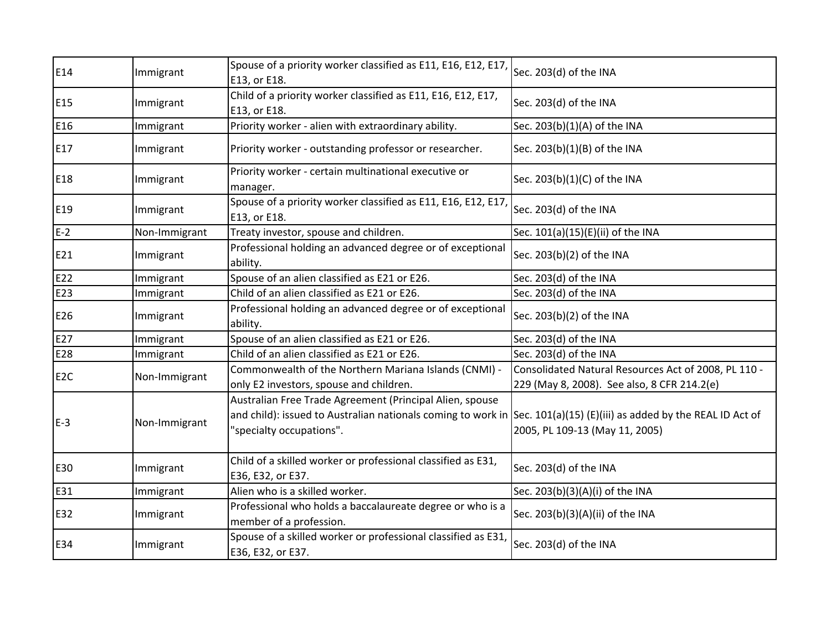| E14             | Immigrant     | Spouse of a priority worker classified as E11, E16, E12, E17,<br>E13, or E18.                                                                                                                                | Sec. 203(d) of the INA                                                                              |
|-----------------|---------------|--------------------------------------------------------------------------------------------------------------------------------------------------------------------------------------------------------------|-----------------------------------------------------------------------------------------------------|
| E15             | Immigrant     | Child of a priority worker classified as E11, E16, E12, E17,<br>E13, or E18.                                                                                                                                 | Sec. 203(d) of the INA                                                                              |
| E16             | Immigrant     | Priority worker - alien with extraordinary ability.                                                                                                                                                          | Sec. 203(b)(1)(A) of the INA                                                                        |
| E17             | Immigrant     | Priority worker - outstanding professor or researcher.                                                                                                                                                       | Sec. 203(b)(1)(B) of the INA                                                                        |
| E18             | Immigrant     | Priority worker - certain multinational executive or<br>manager.                                                                                                                                             | Sec. 203(b)(1)(C) of the INA                                                                        |
| E19             | Immigrant     | Spouse of a priority worker classified as E11, E16, E12, E17,<br>E13, or E18.                                                                                                                                | Sec. 203(d) of the INA                                                                              |
| $E-2$           | Non-Immigrant | Treaty investor, spouse and children.                                                                                                                                                                        | Sec. 101(a)(15)(E)(ii) of the INA                                                                   |
| E21             | Immigrant     | Professional holding an advanced degree or of exceptional<br>ability.                                                                                                                                        | Sec. 203(b)(2) of the INA                                                                           |
| E22             | Immigrant     | Spouse of an alien classified as E21 or E26.                                                                                                                                                                 | Sec. 203(d) of the INA                                                                              |
| E23             | Immigrant     | Child of an alien classified as E21 or E26.                                                                                                                                                                  | Sec. 203(d) of the INA                                                                              |
| E26             | Immigrant     | Professional holding an advanced degree or of exceptional<br>ability.                                                                                                                                        | Sec. 203(b)(2) of the INA                                                                           |
| E27             | Immigrant     | Spouse of an alien classified as E21 or E26.                                                                                                                                                                 | Sec. 203(d) of the INA                                                                              |
| E28             | Immigrant     | Child of an alien classified as E21 or E26.                                                                                                                                                                  | Sec. 203(d) of the INA                                                                              |
| E <sub>2C</sub> | Non-Immigrant | Commonwealth of the Northern Mariana Islands (CNMI) -<br>only E2 investors, spouse and children.                                                                                                             | Consolidated Natural Resources Act of 2008, PL 110 -<br>229 (May 8, 2008). See also, 8 CFR 214.2(e) |
| $E-3$           | Non-Immigrant | Australian Free Trade Agreement (Principal Alien, spouse<br>and child): issued to Australian nationals coming to work in Sec. 101(a)(15) (E)(iii) as added by the REAL ID Act of<br>"specialty occupations". | 2005, PL 109-13 (May 11, 2005)                                                                      |
| E30             | Immigrant     | Child of a skilled worker or professional classified as E31,<br>E36, E32, or E37.                                                                                                                            | Sec. 203(d) of the INA                                                                              |
| E31             | Immigrant     | Alien who is a skilled worker.                                                                                                                                                                               | Sec. 203(b)(3)(A)(i) of the INA                                                                     |
| E32             | Immigrant     | Professional who holds a baccalaureate degree or who is a<br>member of a profession.                                                                                                                         | Sec. 203(b)(3)(A)(ii) of the INA                                                                    |
| E34             | Immigrant     | Spouse of a skilled worker or professional classified as E31,<br>E36, E32, or E37.                                                                                                                           | Sec. 203(d) of the INA                                                                              |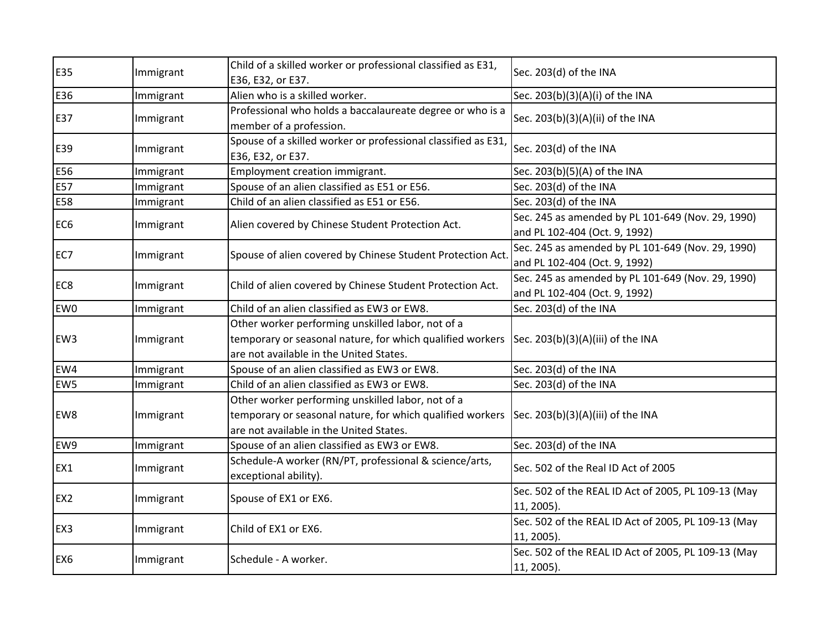| E35             | Immigrant | Child of a skilled worker or professional classified as E31,<br>E36, E32, or E37.                                                                         | Sec. 203(d) of the INA                                                             |
|-----------------|-----------|-----------------------------------------------------------------------------------------------------------------------------------------------------------|------------------------------------------------------------------------------------|
| E36             | Immigrant | Alien who is a skilled worker.                                                                                                                            | Sec. 203(b)(3)(A)(i) of the INA                                                    |
| E37             | Immigrant | Professional who holds a baccalaureate degree or who is a<br>member of a profession.                                                                      | Sec. 203(b)(3)(A)(ii) of the INA                                                   |
| E39             | Immigrant | Spouse of a skilled worker or professional classified as E31,<br>E36, E32, or E37.                                                                        | Sec. 203(d) of the INA                                                             |
| E56             | Immigrant | Employment creation immigrant.                                                                                                                            | Sec. 203(b)(5)(A) of the INA                                                       |
| E57             | Immigrant | Spouse of an alien classified as E51 or E56.                                                                                                              | Sec. 203(d) of the INA                                                             |
| E58             | Immigrant | Child of an alien classified as E51 or E56.                                                                                                               | Sec. 203(d) of the INA                                                             |
| EC <sub>6</sub> | Immigrant | Alien covered by Chinese Student Protection Act.                                                                                                          | Sec. 245 as amended by PL 101-649 (Nov. 29, 1990)<br>and PL 102-404 (Oct. 9, 1992) |
| EC7             | Immigrant | Spouse of alien covered by Chinese Student Protection Act.                                                                                                | Sec. 245 as amended by PL 101-649 (Nov. 29, 1990)<br>and PL 102-404 (Oct. 9, 1992) |
| EC <sub>8</sub> | Immigrant | Child of alien covered by Chinese Student Protection Act.                                                                                                 | Sec. 245 as amended by PL 101-649 (Nov. 29, 1990)<br>and PL 102-404 (Oct. 9, 1992) |
| EW <sub>0</sub> | Immigrant | Child of an alien classified as EW3 or EW8.                                                                                                               | Sec. 203(d) of the INA                                                             |
| EW <sub>3</sub> | Immigrant | Other worker performing unskilled labor, not of a<br>temporary or seasonal nature, for which qualified workers<br>are not available in the United States. | Sec. $203(b)(3)(A)(iii)$ of the INA                                                |
| EW4             | Immigrant | Spouse of an alien classified as EW3 or EW8.                                                                                                              | Sec. 203(d) of the INA                                                             |
| EW <sub>5</sub> | Immigrant | Child of an alien classified as EW3 or EW8.                                                                                                               | Sec. 203(d) of the INA                                                             |
| EW8             | Immigrant | Other worker performing unskilled labor, not of a<br>temporary or seasonal nature, for which qualified workers<br>are not available in the United States. | Sec. 203(b)(3)(A)(iii) of the INA                                                  |
| EW9             | Immigrant | Spouse of an alien classified as EW3 or EW8.                                                                                                              | Sec. 203(d) of the INA                                                             |
| EX1             | Immigrant | Schedule-A worker (RN/PT, professional & science/arts,<br>exceptional ability).                                                                           | Sec. 502 of the Real ID Act of 2005                                                |
| EX <sub>2</sub> | Immigrant | Spouse of EX1 or EX6.                                                                                                                                     | Sec. 502 of the REAL ID Act of 2005, PL 109-13 (May<br>11, 2005).                  |
| EX3             | Immigrant | Child of EX1 or EX6.                                                                                                                                      | Sec. 502 of the REAL ID Act of 2005, PL 109-13 (May<br>11, 2005).                  |
| EX <sub>6</sub> | Immigrant | Schedule - A worker.                                                                                                                                      | Sec. 502 of the REAL ID Act of 2005, PL 109-13 (May<br>11, 2005).                  |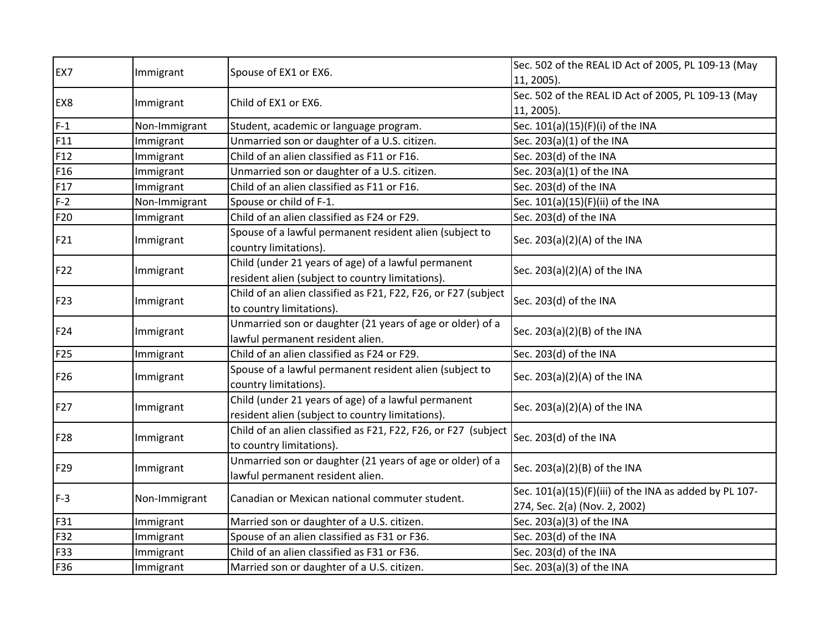|                 |               |                                                                                                         | Sec. 502 of the REAL ID Act of 2005, PL 109-13 (May                                     |
|-----------------|---------------|---------------------------------------------------------------------------------------------------------|-----------------------------------------------------------------------------------------|
| EX7             | Immigrant     | Spouse of EX1 or EX6.                                                                                   | 11, 2005).                                                                              |
|                 |               |                                                                                                         | Sec. 502 of the REAL ID Act of 2005, PL 109-13 (May                                     |
| EX8             | Immigrant     | Child of EX1 or EX6.                                                                                    | 11, 2005).                                                                              |
| $F-1$           | Non-Immigrant | Student, academic or language program.                                                                  | Sec. 101(a)(15)(F)(i) of the INA                                                        |
| F11             | Immigrant     | Unmarried son or daughter of a U.S. citizen.                                                            | Sec. 203(a)(1) of the INA                                                               |
| F12             | Immigrant     | Child of an alien classified as F11 or F16.                                                             | Sec. 203(d) of the INA                                                                  |
| F16             | Immigrant     | Unmarried son or daughter of a U.S. citizen.                                                            | Sec. 203(a)(1) of the INA                                                               |
| F17             | Immigrant     | Child of an alien classified as F11 or F16.                                                             | Sec. 203(d) of the INA                                                                  |
| $F-2$           | Non-Immigrant | Spouse or child of F-1.                                                                                 | Sec. 101(a)(15)(F)(ii) of the INA                                                       |
| F20             | Immigrant     | Child of an alien classified as F24 or F29.                                                             | Sec. 203(d) of the INA                                                                  |
| F21             | Immigrant     | Spouse of a lawful permanent resident alien (subject to<br>country limitations).                        | Sec. 203(a)(2)(A) of the INA                                                            |
| F22             | Immigrant     | Child (under 21 years of age) of a lawful permanent<br>resident alien (subject to country limitations). | Sec. 203(a)(2)(A) of the INA                                                            |
| F23             | Immigrant     | Child of an alien classified as F21, F22, F26, or F27 (subject<br>to country limitations).              | Sec. 203(d) of the INA                                                                  |
| F24             | Immigrant     | Unmarried son or daughter (21 years of age or older) of a<br>lawful permanent resident alien.           | Sec. 203(a)(2)(B) of the INA                                                            |
| F <sub>25</sub> | Immigrant     | Child of an alien classified as F24 or F29.                                                             | Sec. 203(d) of the INA                                                                  |
| F26             | Immigrant     | Spouse of a lawful permanent resident alien (subject to<br>country limitations).                        | Sec. 203(a)(2)(A) of the INA                                                            |
| F27             | Immigrant     | Child (under 21 years of age) of a lawful permanent<br>resident alien (subject to country limitations). | Sec. 203(a)(2)(A) of the INA                                                            |
| F28             | Immigrant     | Child of an alien classified as F21, F22, F26, or F27 (subject<br>to country limitations).              | Sec. 203(d) of the INA                                                                  |
| F29             | Immigrant     | Unmarried son or daughter (21 years of age or older) of a<br>lawful permanent resident alien.           | Sec. 203(a)(2)(B) of the INA                                                            |
| $F-3$           | Non-Immigrant | Canadian or Mexican national commuter student.                                                          | Sec. 101(a)(15)(F)(iii) of the INA as added by PL 107-<br>274, Sec. 2(a) (Nov. 2, 2002) |
| F31             | Immigrant     | Married son or daughter of a U.S. citizen.                                                              | Sec. 203(a)(3) of the INA                                                               |
| F32             | Immigrant     | Spouse of an alien classified as F31 or F36.                                                            | Sec. 203(d) of the INA                                                                  |
| F33             | Immigrant     | Child of an alien classified as F31 or F36.                                                             | Sec. 203(d) of the INA                                                                  |
| F36             | Immigrant     | Married son or daughter of a U.S. citizen.                                                              | Sec. 203(a)(3) of the INA                                                               |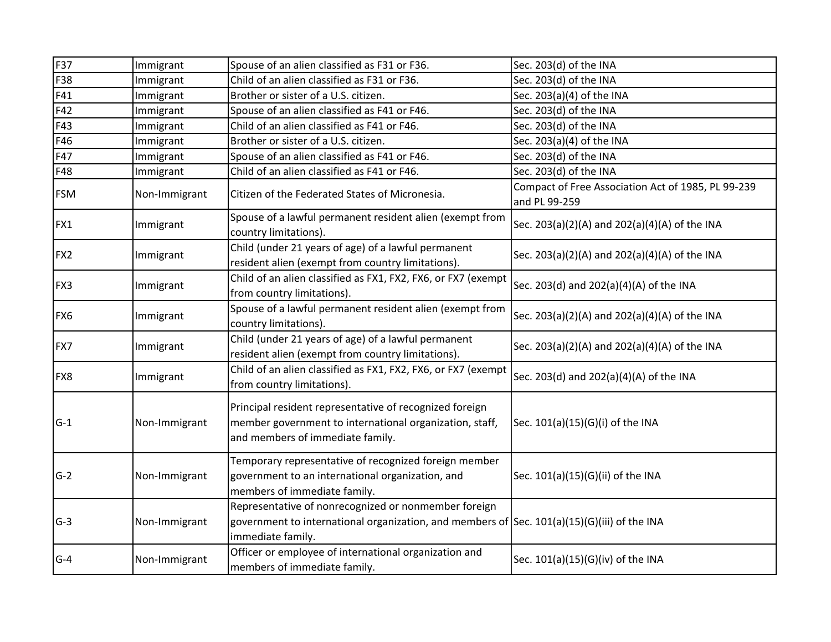| F37        | Immigrant     | Spouse of an alien classified as F31 or F36.                                                                                                                                | Sec. 203(d) of the INA                                              |
|------------|---------------|-----------------------------------------------------------------------------------------------------------------------------------------------------------------------------|---------------------------------------------------------------------|
| F38        | Immigrant     | Child of an alien classified as F31 or F36.                                                                                                                                 | Sec. 203(d) of the INA                                              |
| F41        | Immigrant     | Brother or sister of a U.S. citizen.                                                                                                                                        | Sec. 203(a)(4) of the INA                                           |
| F42        | Immigrant     | Spouse of an alien classified as F41 or F46.                                                                                                                                | Sec. 203(d) of the INA                                              |
| F43        | Immigrant     | Child of an alien classified as F41 or F46.                                                                                                                                 | Sec. 203(d) of the INA                                              |
| F46        | Immigrant     | Brother or sister of a U.S. citizen.                                                                                                                                        | Sec. 203(a)(4) of the INA                                           |
| F47        | Immigrant     | Spouse of an alien classified as F41 or F46.                                                                                                                                | Sec. 203(d) of the INA                                              |
| F48        | Immigrant     | Child of an alien classified as F41 or F46.                                                                                                                                 | Sec. 203(d) of the INA                                              |
| <b>FSM</b> | Non-Immigrant | Citizen of the Federated States of Micronesia.                                                                                                                              | Compact of Free Association Act of 1985, PL 99-239<br>and PL 99-259 |
| FX1        | Immigrant     | Spouse of a lawful permanent resident alien (exempt from<br>country limitations).                                                                                           | Sec. 203(a)(2)(A) and 202(a)(4)(A) of the INA                       |
| FX2        | Immigrant     | Child (under 21 years of age) of a lawful permanent<br>resident alien (exempt from country limitations).                                                                    | Sec. 203(a)(2)(A) and 202(a)(4)(A) of the INA                       |
| FX3        | Immigrant     | Child of an alien classified as FX1, FX2, FX6, or FX7 (exempt<br>from country limitations).                                                                                 | Sec. 203(d) and 202(a)(4)(A) of the INA                             |
| FX6        | Immigrant     | Spouse of a lawful permanent resident alien (exempt from<br>country limitations).                                                                                           | Sec. 203(a)(2)(A) and 202(a)(4)(A) of the INA                       |
| FX7        | Immigrant     | Child (under 21 years of age) of a lawful permanent<br>resident alien (exempt from country limitations).                                                                    | Sec. 203(a)(2)(A) and 202(a)(4)(A) of the INA                       |
| FX8        | Immigrant     | Child of an alien classified as FX1, FX2, FX6, or FX7 (exempt<br>from country limitations).                                                                                 | Sec. 203(d) and 202(a)(4)(A) of the INA                             |
| $G-1$      | Non-Immigrant | Principal resident representative of recognized foreign<br>member government to international organization, staff,<br>and members of immediate family.                      | Sec. 101(a)(15)(G)(i) of the INA                                    |
| $G-2$      | Non-Immigrant | Temporary representative of recognized foreign member<br>government to an international organization, and<br>members of immediate family.                                   | Sec. 101(a)(15)(G)(ii) of the INA                                   |
| $G-3$      | Non-Immigrant | Representative of nonrecognized or nonmember foreign<br>government to international organization, and members of $ Sec. 101(a)(15)(G)(iii)$ of the INA<br>immediate family. |                                                                     |
| $G-4$      | Non-Immigrant | Officer or employee of international organization and<br>members of immediate family.                                                                                       | Sec. 101(a)(15)(G)(iv) of the INA                                   |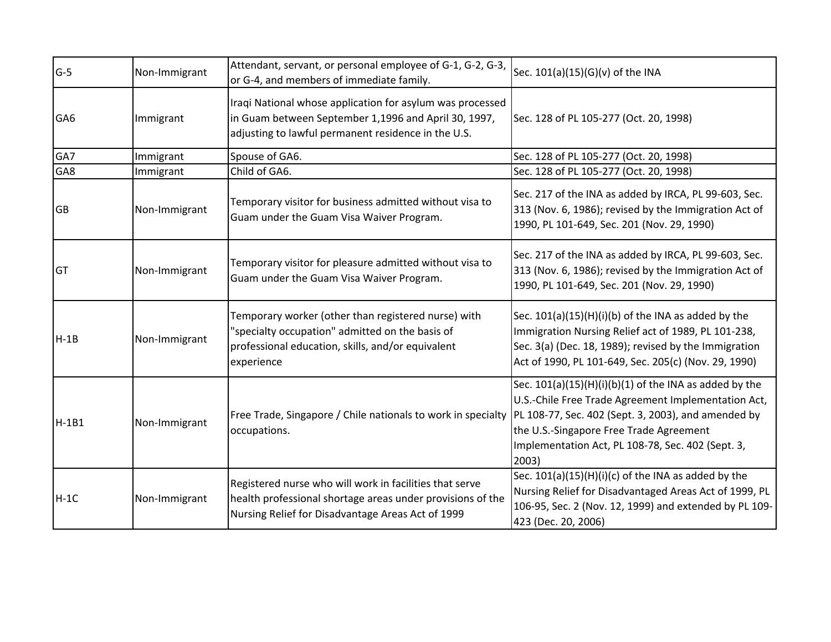|                 |               | Attendant, servant, or personal employee of G-1, G-2, G-3,                                                                                                                 |                                                                                                                                                                                                                                                                                 |
|-----------------|---------------|----------------------------------------------------------------------------------------------------------------------------------------------------------------------------|---------------------------------------------------------------------------------------------------------------------------------------------------------------------------------------------------------------------------------------------------------------------------------|
| $G-5$           | Non-Immigrant | or G-4, and members of immediate family.                                                                                                                                   | Sec. 101(a)(15)(G)(v) of the INA                                                                                                                                                                                                                                                |
| GA <sub>6</sub> | Immigrant     | Iraqi National whose application for asylum was processed<br>in Guam between September 1,1996 and April 30, 1997,<br>adjusting to lawful permanent residence in the U.S.   | Sec. 128 of PL 105-277 (Oct. 20, 1998)                                                                                                                                                                                                                                          |
| GA7             | Immigrant     | Spouse of GA6.                                                                                                                                                             | Sec. 128 of PL 105-277 (Oct. 20, 1998)                                                                                                                                                                                                                                          |
| GA8             | Immigrant     | Child of GA6.                                                                                                                                                              | Sec. 128 of PL 105-277 (Oct. 20, 1998)                                                                                                                                                                                                                                          |
| <b>GB</b>       | Non-Immigrant | Temporary visitor for business admitted without visa to<br>Guam under the Guam Visa Waiver Program.                                                                        | Sec. 217 of the INA as added by IRCA, PL 99-603, Sec.<br>313 (Nov. 6, 1986); revised by the Immigration Act of<br>1990, PL 101-649, Sec. 201 (Nov. 29, 1990)                                                                                                                    |
| <b>GT</b>       | Non-Immigrant | Temporary visitor for pleasure admitted without visa to<br>Guam under the Guam Visa Waiver Program.                                                                        | Sec. 217 of the INA as added by IRCA, PL 99-603, Sec.<br>313 (Nov. 6, 1986); revised by the Immigration Act of<br>1990, PL 101-649, Sec. 201 (Nov. 29, 1990)                                                                                                                    |
| $H-1B$          | Non-Immigrant | Temporary worker (other than registered nurse) with<br>'specialty occupation" admitted on the basis of<br>professional education, skills, and/or equivalent<br>experience  | Sec. $101(a)(15)(H)(i)(b)$ of the INA as added by the<br>Immigration Nursing Relief act of 1989, PL 101-238,<br>Sec. 3(a) (Dec. 18, 1989); revised by the Immigration<br>Act of 1990, PL 101-649, Sec. 205(c) (Nov. 29, 1990)                                                   |
| $H-1B1$         | Non-Immigrant | Free Trade, Singapore / Chile nationals to work in specialty<br>occupations.                                                                                               | Sec. $101(a)(15)(H)(i)(b)(1)$ of the INA as added by the<br>U.S.-Chile Free Trade Agreement Implementation Act,<br>PL 108-77, Sec. 402 (Sept. 3, 2003), and amended by<br>the U.S.-Singapore Free Trade Agreement<br>Implementation Act, PL 108-78, Sec. 402 (Sept. 3,<br>2003) |
| $H-1C$          | Non-Immigrant | Registered nurse who will work in facilities that serve<br>health professional shortage areas under provisions of the<br>Nursing Relief for Disadvantage Areas Act of 1999 | Sec. 101(a)(15)(H)(i)(c) of the INA as added by the<br>Nursing Relief for Disadvantaged Areas Act of 1999, PL<br>106-95, Sec. 2 (Nov. 12, 1999) and extended by PL 109-<br>423 (Dec. 20, 2006)                                                                                  |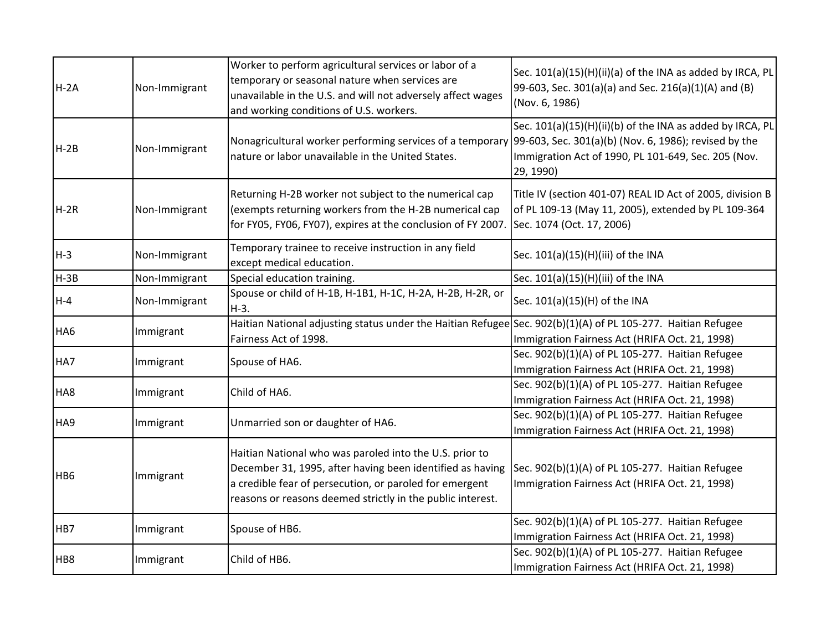| $H - 2A$        | Non-Immigrant | Worker to perform agricultural services or labor of a<br>temporary or seasonal nature when services are<br>unavailable in the U.S. and will not adversely affect wages<br>and working conditions of U.S. workers.                             | Sec. 101(a)(15)(H)(ii)(a) of the INA as added by IRCA, PL<br>99-603, Sec. 301(a)(a) and Sec. 216(a)(1)(A) and (B)<br>(Nov. 6, 1986)           |
|-----------------|---------------|-----------------------------------------------------------------------------------------------------------------------------------------------------------------------------------------------------------------------------------------------|-----------------------------------------------------------------------------------------------------------------------------------------------|
| $H-2B$          | Non-Immigrant | Nonagricultural worker performing services of a temporary 99-603, Sec. 301(a)(b) (Nov. 6, 1986); revised by the<br>nature or labor unavailable in the United States.                                                                          | Sec. 101(a)(15)(H)(ii)(b) of the INA as added by IRCA, PL<br>Immigration Act of 1990, PL 101-649, Sec. 205 (Nov.<br>29, 1990)                 |
| $H-2R$          | Non-Immigrant | Returning H-2B worker not subject to the numerical cap<br>(exempts returning workers from the H-2B numerical cap<br>for FY05, FY06, FY07), expires at the conclusion of FY 2007.                                                              | Title IV (section 401-07) REAL ID Act of 2005, division B<br>of PL 109-13 (May 11, 2005), extended by PL 109-364<br>Sec. 1074 (Oct. 17, 2006) |
| $H-3$           | Non-Immigrant | Temporary trainee to receive instruction in any field<br>except medical education.                                                                                                                                                            | Sec. 101(a)(15)(H)(iii) of the INA                                                                                                            |
| $H-3B$          | Non-Immigrant | Special education training.                                                                                                                                                                                                                   | Sec. 101(a)(15)(H)(iii) of the INA                                                                                                            |
| $H - 4$         | Non-Immigrant | Spouse or child of H-1B, H-1B1, H-1C, H-2A, H-2B, H-2R, or<br>H-3.                                                                                                                                                                            | Sec. 101(a)(15)(H) of the INA                                                                                                                 |
| HA <sub>6</sub> | Immigrant     | Haitian National adjusting status under the Haitian Refugee Sec. 902(b)(1)(A) of PL 105-277. Haitian Refugee<br>Fairness Act of 1998.                                                                                                         | Immigration Fairness Act (HRIFA Oct. 21, 1998)                                                                                                |
| HA7             | Immigrant     | Spouse of HA6.                                                                                                                                                                                                                                | Sec. 902(b)(1)(A) of PL 105-277. Haitian Refugee<br>Immigration Fairness Act (HRIFA Oct. 21, 1998)                                            |
| HA8             | Immigrant     | Child of HA6.                                                                                                                                                                                                                                 | Sec. 902(b)(1)(A) of PL 105-277. Haitian Refugee<br>Immigration Fairness Act (HRIFA Oct. 21, 1998)                                            |
| HA9             | Immigrant     | Unmarried son or daughter of HA6.                                                                                                                                                                                                             | Sec. 902(b)(1)(A) of PL 105-277. Haitian Refugee<br>Immigration Fairness Act (HRIFA Oct. 21, 1998)                                            |
| HB <sub>6</sub> | Immigrant     | Haitian National who was paroled into the U.S. prior to<br>December 31, 1995, after having been identified as having<br>a credible fear of persecution, or paroled for emergent<br>reasons or reasons deemed strictly in the public interest. | Sec. 902(b)(1)(A) of PL 105-277. Haitian Refugee<br>Immigration Fairness Act (HRIFA Oct. 21, 1998)                                            |
| HB7             | Immigrant     | Spouse of HB6.                                                                                                                                                                                                                                | Sec. 902(b)(1)(A) of PL 105-277. Haitian Refugee<br>Immigration Fairness Act (HRIFA Oct. 21, 1998)                                            |
| HB8             | Immigrant     | Child of HB6.                                                                                                                                                                                                                                 | Sec. 902(b)(1)(A) of PL 105-277. Haitian Refugee<br>Immigration Fairness Act (HRIFA Oct. 21, 1998)                                            |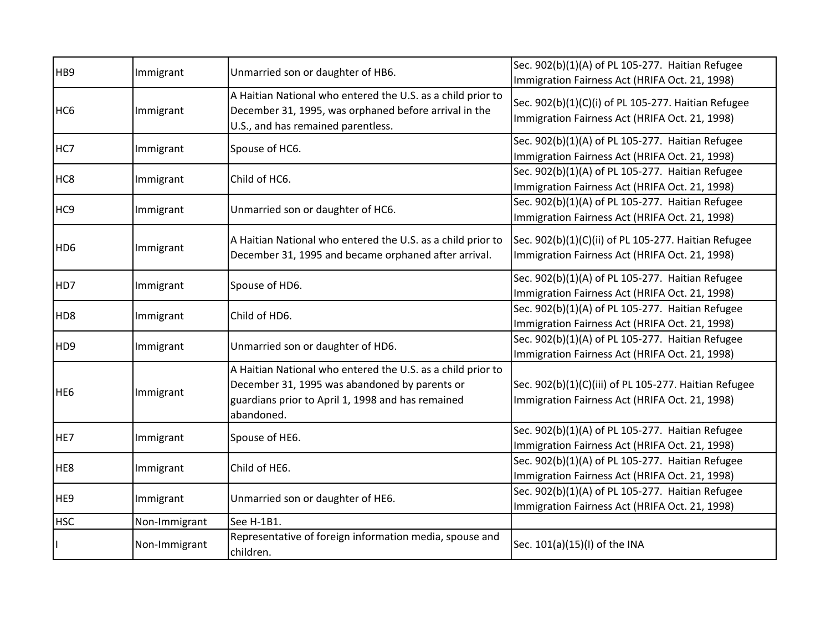| HB <sub>9</sub> | Immigrant     | Unmarried son or daughter of HB6.                                                                                                                                               | Sec. 902(b)(1)(A) of PL 105-277. Haitian Refugee<br>Immigration Fairness Act (HRIFA Oct. 21, 1998)      |
|-----------------|---------------|---------------------------------------------------------------------------------------------------------------------------------------------------------------------------------|---------------------------------------------------------------------------------------------------------|
| HC <sub>6</sub> | Immigrant     | A Haitian National who entered the U.S. as a child prior to<br>December 31, 1995, was orphaned before arrival in the<br>U.S., and has remained parentless.                      | Sec. 902(b)(1)(C)(i) of PL 105-277. Haitian Refugee<br>Immigration Fairness Act (HRIFA Oct. 21, 1998)   |
| HC7             | Immigrant     | Spouse of HC6.                                                                                                                                                                  | Sec. 902(b)(1)(A) of PL 105-277. Haitian Refugee<br>Immigration Fairness Act (HRIFA Oct. 21, 1998)      |
| HC <sub>8</sub> | Immigrant     | Child of HC6.                                                                                                                                                                   | Sec. 902(b)(1)(A) of PL 105-277. Haitian Refugee<br>Immigration Fairness Act (HRIFA Oct. 21, 1998)      |
| HC <sub>9</sub> | Immigrant     | Unmarried son or daughter of HC6.                                                                                                                                               | Sec. 902(b)(1)(A) of PL 105-277. Haitian Refugee<br>Immigration Fairness Act (HRIFA Oct. 21, 1998)      |
| HD <sub>6</sub> | Immigrant     | A Haitian National who entered the U.S. as a child prior to<br>December 31, 1995 and became orphaned after arrival.                                                             | Sec. 902(b)(1)(C)(ii) of PL 105-277. Haitian Refugee<br>Immigration Fairness Act (HRIFA Oct. 21, 1998)  |
| HD7             | Immigrant     | Spouse of HD6.                                                                                                                                                                  | Sec. 902(b)(1)(A) of PL 105-277. Haitian Refugee<br>Immigration Fairness Act (HRIFA Oct. 21, 1998)      |
| HD <sub>8</sub> | Immigrant     | Child of HD6.                                                                                                                                                                   | Sec. 902(b)(1)(A) of PL 105-277. Haitian Refugee<br>Immigration Fairness Act (HRIFA Oct. 21, 1998)      |
| HD <sub>9</sub> | Immigrant     | Unmarried son or daughter of HD6.                                                                                                                                               | Sec. 902(b)(1)(A) of PL 105-277. Haitian Refugee<br>Immigration Fairness Act (HRIFA Oct. 21, 1998)      |
| HE <sub>6</sub> | Immigrant     | A Haitian National who entered the U.S. as a child prior to<br>December 31, 1995 was abandoned by parents or<br>guardians prior to April 1, 1998 and has remained<br>abandoned. | Sec. 902(b)(1)(C)(iii) of PL 105-277. Haitian Refugee<br>Immigration Fairness Act (HRIFA Oct. 21, 1998) |
| HE7             | Immigrant     | Spouse of HE6.                                                                                                                                                                  | Sec. 902(b)(1)(A) of PL 105-277. Haitian Refugee<br>Immigration Fairness Act (HRIFA Oct. 21, 1998)      |
| HE8             | Immigrant     | Child of HE6.                                                                                                                                                                   | Sec. 902(b)(1)(A) of PL 105-277. Haitian Refugee<br>Immigration Fairness Act (HRIFA Oct. 21, 1998)      |
| HE9             | Immigrant     | Unmarried son or daughter of HE6.                                                                                                                                               | Sec. 902(b)(1)(A) of PL 105-277. Haitian Refugee<br>Immigration Fairness Act (HRIFA Oct. 21, 1998)      |
| <b>HSC</b>      | Non-Immigrant | See H-1B1.                                                                                                                                                                      |                                                                                                         |
|                 | Non-Immigrant | Representative of foreign information media, spouse and<br>children.                                                                                                            | Sec. 101(a)(15)(I) of the INA                                                                           |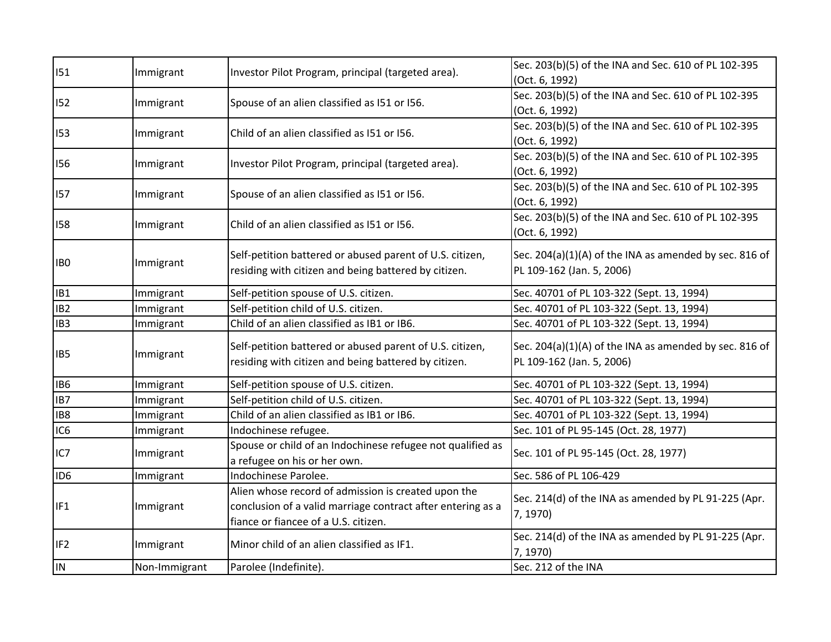| 151             | Immigrant     | Investor Pilot Program, principal (targeted area).          | Sec. 203(b)(5) of the INA and Sec. 610 of PL 102-395   |
|-----------------|---------------|-------------------------------------------------------------|--------------------------------------------------------|
|                 |               |                                                             | (Oct. 6, 1992)                                         |
| 152             | Immigrant     | Spouse of an alien classified as I51 or I56.                | Sec. 203(b)(5) of the INA and Sec. 610 of PL 102-395   |
|                 |               |                                                             | (Oct. 6, 1992)                                         |
| 153             | Immigrant     | Child of an alien classified as 151 or 156.                 | Sec. 203(b)(5) of the INA and Sec. 610 of PL 102-395   |
|                 |               |                                                             | (Oct. 6, 1992)                                         |
| 156             | Immigrant     | Investor Pilot Program, principal (targeted area).          | Sec. 203(b)(5) of the INA and Sec. 610 of PL 102-395   |
|                 |               |                                                             | (Oct. 6, 1992)                                         |
| 157             | Immigrant     | Spouse of an alien classified as I51 or I56.                | Sec. 203(b)(5) of the INA and Sec. 610 of PL 102-395   |
|                 |               |                                                             | (Oct. 6, 1992)                                         |
| 158             | Immigrant     | Child of an alien classified as I51 or I56.                 | Sec. 203(b)(5) of the INA and Sec. 610 of PL 102-395   |
|                 |               |                                                             | (Oct. 6, 1992)                                         |
|                 |               | Self-petition battered or abused parent of U.S. citizen,    | Sec. 204(a)(1)(A) of the INA as amended by sec. 816 of |
| IB <sub>0</sub> | Immigrant     | residing with citizen and being battered by citizen.        | PL 109-162 (Jan. 5, 2006)                              |
|                 |               |                                                             |                                                        |
| IB1             | Immigrant     | Self-petition spouse of U.S. citizen.                       | Sec. 40701 of PL 103-322 (Sept. 13, 1994)              |
| IB <sub>2</sub> | Immigrant     | Self-petition child of U.S. citizen.                        | Sec. 40701 of PL 103-322 (Sept. 13, 1994)              |
| IB <sub>3</sub> | Immigrant     | Child of an alien classified as IB1 or IB6.                 | Sec. 40701 of PL 103-322 (Sept. 13, 1994)              |
|                 |               | Self-petition battered or abused parent of U.S. citizen,    | Sec. 204(a)(1)(A) of the INA as amended by sec. 816 of |
| IB5             | Immigrant     | residing with citizen and being battered by citizen.        | PL 109-162 (Jan. 5, 2006)                              |
|                 |               |                                                             |                                                        |
| IB <sub>6</sub> | Immigrant     | Self-petition spouse of U.S. citizen.                       | Sec. 40701 of PL 103-322 (Sept. 13, 1994)              |
| IB7             | Immigrant     | Self-petition child of U.S. citizen.                        | Sec. 40701 of PL 103-322 (Sept. 13, 1994)              |
| IB8             | Immigrant     | Child of an alien classified as IB1 or IB6.                 | Sec. 40701 of PL 103-322 (Sept. 13, 1994)              |
| IC <sub>6</sub> | Immigrant     | Indochinese refugee.                                        | Sec. 101 of PL 95-145 (Oct. 28, 1977)                  |
| IC7             | Immigrant     | Spouse or child of an Indochinese refugee not qualified as  | Sec. 101 of PL 95-145 (Oct. 28, 1977)                  |
|                 |               | a refugee on his or her own.                                |                                                        |
| ID <sub>6</sub> | Immigrant     | Indochinese Parolee.                                        | Sec. 586 of PL 106-429                                 |
|                 |               | Alien whose record of admission is created upon the         | Sec. 214(d) of the INA as amended by PL 91-225 (Apr.   |
| IF <sub>1</sub> | Immigrant     | conclusion of a valid marriage contract after entering as a | 7, 1970)                                               |
|                 |               | fiance or fiancee of a U.S. citizen.                        |                                                        |
| IF <sub>2</sub> | Immigrant     | Minor child of an alien classified as IF1.                  | Sec. 214(d) of the INA as amended by PL 91-225 (Apr.   |
|                 |               |                                                             | 7, 1970)                                               |
| IN              | Non-Immigrant | Parolee (Indefinite).                                       | Sec. 212 of the INA                                    |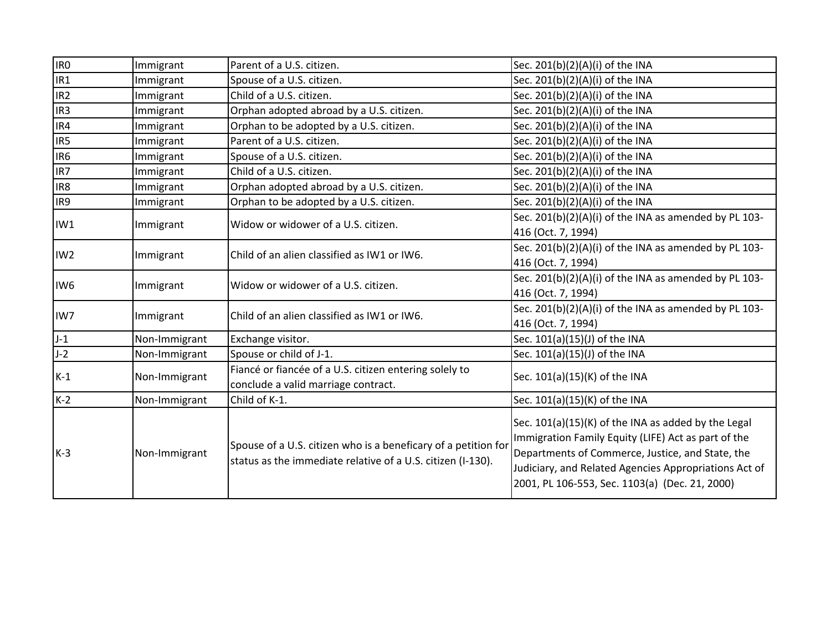| IR <sub>0</sub> | Immigrant     | Parent of a U.S. citizen.                                                                                                     | Sec. 201(b)(2)(A)(i) of the INA                                                                                                                                                                                                                                           |
|-----------------|---------------|-------------------------------------------------------------------------------------------------------------------------------|---------------------------------------------------------------------------------------------------------------------------------------------------------------------------------------------------------------------------------------------------------------------------|
| IR1             | Immigrant     | Spouse of a U.S. citizen.                                                                                                     | Sec. 201(b)(2)(A)(i) of the INA                                                                                                                                                                                                                                           |
| IR <sub>2</sub> | Immigrant     | Child of a U.S. citizen.                                                                                                      | Sec. 201(b)(2)(A)(i) of the INA                                                                                                                                                                                                                                           |
| IR <sub>3</sub> | Immigrant     | Orphan adopted abroad by a U.S. citizen.                                                                                      | Sec. 201(b)(2)(A)(i) of the INA                                                                                                                                                                                                                                           |
| IR4             | Immigrant     | Orphan to be adopted by a U.S. citizen.                                                                                       | Sec. 201(b)(2)(A)(i) of the INA                                                                                                                                                                                                                                           |
| IR <sub>5</sub> | Immigrant     | Parent of a U.S. citizen.                                                                                                     | Sec. 201(b)(2)(A)(i) of the INA                                                                                                                                                                                                                                           |
| IR <sub>6</sub> | Immigrant     | Spouse of a U.S. citizen.                                                                                                     | Sec. 201(b)(2)(A)(i) of the INA                                                                                                                                                                                                                                           |
| IR7             | Immigrant     | Child of a U.S. citizen.                                                                                                      | Sec. 201(b)(2)(A)(i) of the INA                                                                                                                                                                                                                                           |
| IR8             | Immigrant     | Orphan adopted abroad by a U.S. citizen.                                                                                      | Sec. 201(b)(2)(A)(i) of the INA                                                                                                                                                                                                                                           |
| IR9             | Immigrant     | Orphan to be adopted by a U.S. citizen.                                                                                       | Sec. 201(b)(2)(A)(i) of the INA                                                                                                                                                                                                                                           |
| IW1             |               | Widow or widower of a U.S. citizen.                                                                                           | Sec. 201(b)(2)(A)(i) of the INA as amended by PL 103-                                                                                                                                                                                                                     |
|                 | Immigrant     |                                                                                                                               | 416 (Oct. 7, 1994)                                                                                                                                                                                                                                                        |
| IW <sub>2</sub> |               | Child of an alien classified as IW1 or IW6.                                                                                   | Sec. 201(b)(2)(A)(i) of the INA as amended by PL 103-                                                                                                                                                                                                                     |
|                 | Immigrant     |                                                                                                                               | 416 (Oct. 7, 1994)                                                                                                                                                                                                                                                        |
| IW <sub>6</sub> |               | Widow or widower of a U.S. citizen.                                                                                           | Sec. 201(b)(2)(A)(i) of the INA as amended by PL 103-                                                                                                                                                                                                                     |
|                 | Immigrant     |                                                                                                                               | 416 (Oct. 7, 1994)                                                                                                                                                                                                                                                        |
| IW7             | Immigrant     | Child of an alien classified as IW1 or IW6.                                                                                   | Sec. 201(b)(2)(A)(i) of the INA as amended by PL 103-                                                                                                                                                                                                                     |
|                 |               |                                                                                                                               | 416 (Oct. 7, 1994)                                                                                                                                                                                                                                                        |
| $-1$            | Non-Immigrant | Exchange visitor.                                                                                                             | Sec. 101(a)(15)(J) of the INA                                                                                                                                                                                                                                             |
| $J-2$           | Non-Immigrant | Spouse or child of J-1.                                                                                                       | Sec. 101(a)(15)(J) of the INA                                                                                                                                                                                                                                             |
| $K-1$           | Non-Immigrant | Fiancé or fiancée of a U.S. citizen entering solely to<br>conclude a valid marriage contract.                                 | Sec. 101(a)(15)(K) of the INA                                                                                                                                                                                                                                             |
| $K-2$           | Non-Immigrant | Child of K-1.                                                                                                                 | Sec. 101(a)(15)(K) of the INA                                                                                                                                                                                                                                             |
| $K-3$           | Non-Immigrant | Spouse of a U.S. citizen who is a beneficary of a petition for<br>status as the immediate relative of a U.S. citizen (I-130). | Sec. 101(a)(15)(K) of the INA as added by the Legal<br>Immigration Family Equity (LIFE) Act as part of the<br>Departments of Commerce, Justice, and State, the<br>Judiciary, and Related Agencies Appropriations Act of<br>2001, PL 106-553, Sec. 1103(a) (Dec. 21, 2000) |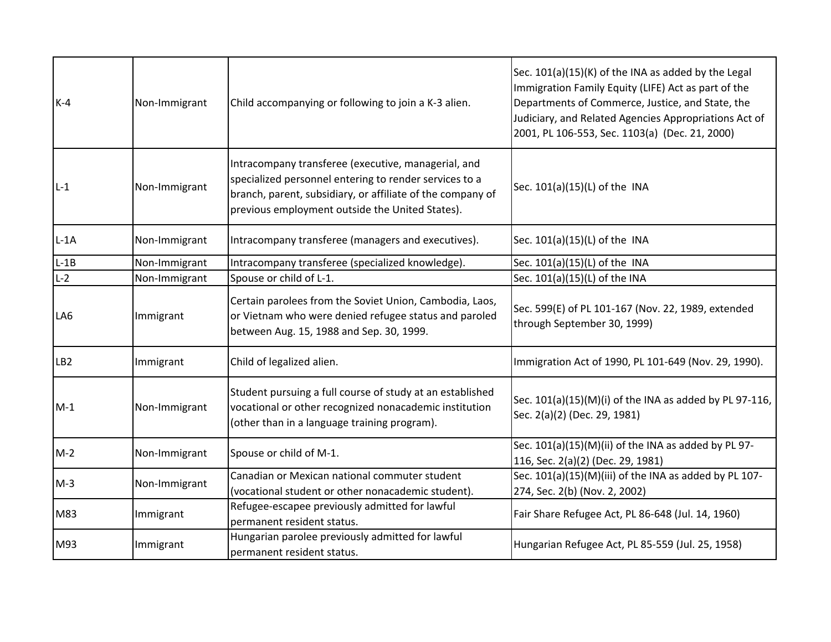| $K-4$           | Non-Immigrant | Child accompanying or following to join a K-3 alien.                                                                                                                                                                           | Sec. 101(a)(15)(K) of the INA as added by the Legal<br>Immigration Family Equity (LIFE) Act as part of the<br>Departments of Commerce, Justice, and State, the<br>Judiciary, and Related Agencies Appropriations Act of<br>2001, PL 106-553, Sec. 1103(a) (Dec. 21, 2000) |
|-----------------|---------------|--------------------------------------------------------------------------------------------------------------------------------------------------------------------------------------------------------------------------------|---------------------------------------------------------------------------------------------------------------------------------------------------------------------------------------------------------------------------------------------------------------------------|
| $L-1$           | Non-Immigrant | Intracompany transferee (executive, managerial, and<br>specialized personnel entering to render services to a<br>branch, parent, subsidiary, or affiliate of the company of<br>previous employment outside the United States). | Sec. 101(a)(15)(L) of the INA                                                                                                                                                                                                                                             |
| $L-1A$          | Non-Immigrant | Intracompany transferee (managers and executives).                                                                                                                                                                             | Sec. 101(a)(15)(L) of the INA                                                                                                                                                                                                                                             |
| $L-1B$          | Non-Immigrant | Intracompany transferee (specialized knowledge).                                                                                                                                                                               | Sec. 101(a)(15)(L) of the INA                                                                                                                                                                                                                                             |
| $L-2$           | Non-Immigrant | Spouse or child of L-1.                                                                                                                                                                                                        | Sec. 101(a)(15)(L) of the INA                                                                                                                                                                                                                                             |
| LA6             | Immigrant     | Certain parolees from the Soviet Union, Cambodia, Laos,<br>or Vietnam who were denied refugee status and paroled<br>between Aug. 15, 1988 and Sep. 30, 1999.                                                                   | Sec. 599(E) of PL 101-167 (Nov. 22, 1989, extended<br>through September 30, 1999)                                                                                                                                                                                         |
| LB <sub>2</sub> | Immigrant     | Child of legalized alien.                                                                                                                                                                                                      | Immigration Act of 1990, PL 101-649 (Nov. 29, 1990).                                                                                                                                                                                                                      |
| $M-1$           | Non-Immigrant | Student pursuing a full course of study at an established<br>vocational or other recognized nonacademic institution<br>(other than in a language training program).                                                            | Sec. 101(a)(15)(M)(i) of the INA as added by PL 97-116,<br>Sec. 2(a)(2) (Dec. 29, 1981)                                                                                                                                                                                   |
| $M-2$           | Non-Immigrant | Spouse or child of M-1.                                                                                                                                                                                                        | Sec. 101(a)(15)(M)(ii) of the INA as added by PL 97-<br>116, Sec. 2(a)(2) (Dec. 29, 1981)                                                                                                                                                                                 |
| $M-3$           | Non-Immigrant | Canadian or Mexican national commuter student<br>(vocational student or other nonacademic student).                                                                                                                            | Sec. 101(a)(15)(M)(iii) of the INA as added by PL 107-<br>274, Sec. 2(b) (Nov. 2, 2002)                                                                                                                                                                                   |
| M83             | Immigrant     | Refugee-escapee previously admitted for lawful<br>permanent resident status.                                                                                                                                                   | Fair Share Refugee Act, PL 86-648 (Jul. 14, 1960)                                                                                                                                                                                                                         |
| M93             | Immigrant     | Hungarian parolee previously admitted for lawful<br>permanent resident status.                                                                                                                                                 | Hungarian Refugee Act, PL 85-559 (Jul. 25, 1958)                                                                                                                                                                                                                          |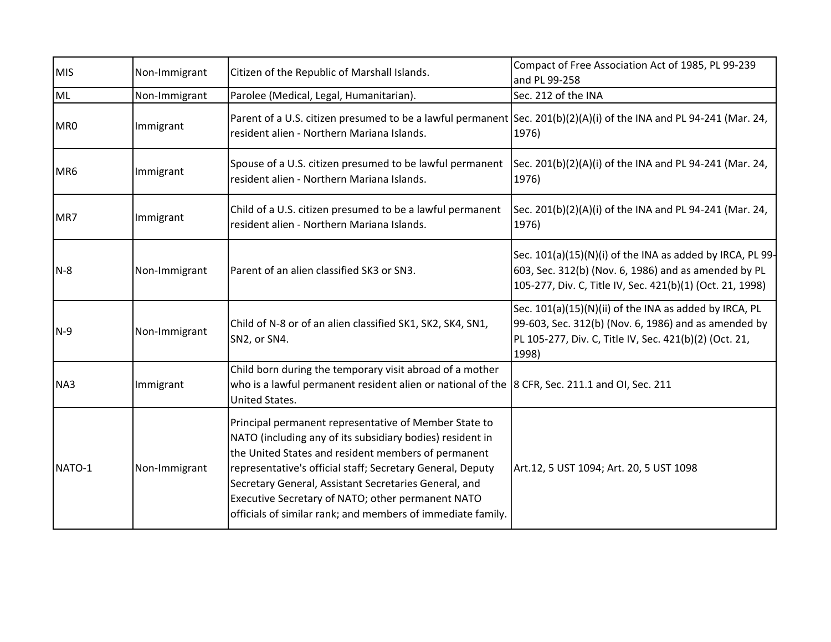| <b>MIS</b> | Non-Immigrant | Citizen of the Republic of Marshall Islands.                                                                                                                                                                                                                                                                                                                                                                         | Compact of Free Association Act of 1985, PL 99-239<br>and PL 99-258                                                                                                               |
|------------|---------------|----------------------------------------------------------------------------------------------------------------------------------------------------------------------------------------------------------------------------------------------------------------------------------------------------------------------------------------------------------------------------------------------------------------------|-----------------------------------------------------------------------------------------------------------------------------------------------------------------------------------|
| ML         | Non-Immigrant | Parolee (Medical, Legal, Humanitarian).                                                                                                                                                                                                                                                                                                                                                                              | Sec. 212 of the INA                                                                                                                                                               |
| MR0        | Immigrant     | Parent of a U.S. citizen presumed to be a lawful permanent Sec. 201(b)(2)(A)(i) of the INA and PL 94-241 (Mar. 24,<br>resident alien - Northern Mariana Islands.                                                                                                                                                                                                                                                     | 1976)                                                                                                                                                                             |
| MR6        | Immigrant     | Spouse of a U.S. citizen presumed to be lawful permanent $\left  \text{Sec. 201(b)(2)(A)(i)} \right $ of the INA and PL 94-241 (Mar. 24,<br>resident alien - Northern Mariana Islands.                                                                                                                                                                                                                               | 1976)                                                                                                                                                                             |
| MR7        | Immigrant     | Child of a U.S. citizen presumed to be a lawful permanent<br>resident alien - Northern Mariana Islands.                                                                                                                                                                                                                                                                                                              | Sec. 201(b)(2)(A)(i) of the INA and PL 94-241 (Mar. 24,<br>1976)                                                                                                                  |
| $N-8$      | Non-Immigrant | Parent of an alien classified SK3 or SN3.                                                                                                                                                                                                                                                                                                                                                                            | Sec. 101(a)(15)(N)(i) of the INA as added by IRCA, PL 99-<br>603, Sec. 312(b) (Nov. 6, 1986) and as amended by PL<br>105-277, Div. C, Title IV, Sec. 421(b)(1) (Oct. 21, 1998)    |
| $N-9$      | Non-Immigrant | Child of N-8 or of an alien classified SK1, SK2, SK4, SN1,<br>SN2, or SN4.                                                                                                                                                                                                                                                                                                                                           | Sec. 101(a)(15)(N)(ii) of the INA as added by IRCA, PL<br>99-603, Sec. 312(b) (Nov. 6, 1986) and as amended by<br>PL 105-277, Div. C, Title IV, Sec. 421(b)(2) (Oct. 21,<br>1998) |
| NA3        | Immigrant     | Child born during the temporary visit abroad of a mother<br>who is a lawful permanent resident alien or national of the 8 CFR, Sec. 211.1 and OI, Sec. 211<br>United States.                                                                                                                                                                                                                                         |                                                                                                                                                                                   |
| NATO-1     | Non-Immigrant | Principal permanent representative of Member State to<br>NATO (including any of its subsidiary bodies) resident in<br>the United States and resident members of permanent<br>representative's official staff; Secretary General, Deputy<br>Secretary General, Assistant Secretaries General, and<br>Executive Secretary of NATO; other permanent NATO<br>officials of similar rank; and members of immediate family. | Art.12, 5 UST 1094; Art. 20, 5 UST 1098                                                                                                                                           |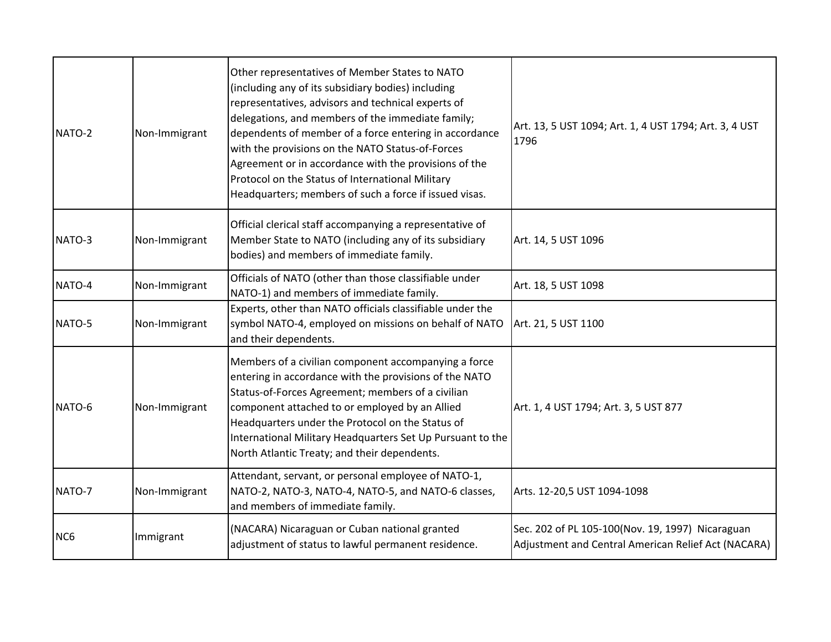| NATO-2          | Non-Immigrant | Other representatives of Member States to NATO<br>(including any of its subsidiary bodies) including<br>representatives, advisors and technical experts of<br>delegations, and members of the immediate family;<br>dependents of member of a force entering in accordance<br>with the provisions on the NATO Status-of-Forces<br>Agreement or in accordance with the provisions of the<br>Protocol on the Status of International Military<br>Headquarters; members of such a force if issued visas. | Art. 13, 5 UST 1094; Art. 1, 4 UST 1794; Art. 3, 4 UST<br>1796                                          |
|-----------------|---------------|------------------------------------------------------------------------------------------------------------------------------------------------------------------------------------------------------------------------------------------------------------------------------------------------------------------------------------------------------------------------------------------------------------------------------------------------------------------------------------------------------|---------------------------------------------------------------------------------------------------------|
| NATO-3          | Non-Immigrant | Official clerical staff accompanying a representative of<br>Member State to NATO (including any of its subsidiary<br>bodies) and members of immediate family.                                                                                                                                                                                                                                                                                                                                        | Art. 14, 5 UST 1096                                                                                     |
| NATO-4          | Non-Immigrant | Officials of NATO (other than those classifiable under<br>NATO-1) and members of immediate family.                                                                                                                                                                                                                                                                                                                                                                                                   | Art. 18, 5 UST 1098                                                                                     |
| NATO-5          | Non-Immigrant | Experts, other than NATO officials classifiable under the<br>symbol NATO-4, employed on missions on behalf of NATO<br>and their dependents.                                                                                                                                                                                                                                                                                                                                                          | Art. 21, 5 UST 1100                                                                                     |
| NATO-6          | Non-Immigrant | Members of a civilian component accompanying a force<br>entering in accordance with the provisions of the NATO<br>Status-of-Forces Agreement; members of a civilian<br>component attached to or employed by an Allied<br>Headquarters under the Protocol on the Status of<br>International Military Headquarters Set Up Pursuant to the<br>North Atlantic Treaty; and their dependents.                                                                                                              | Art. 1, 4 UST 1794; Art. 3, 5 UST 877                                                                   |
| NATO-7          | Non-Immigrant | Attendant, servant, or personal employee of NATO-1,<br>NATO-2, NATO-3, NATO-4, NATO-5, and NATO-6 classes,<br>and members of immediate family.                                                                                                                                                                                                                                                                                                                                                       | Arts. 12-20,5 UST 1094-1098                                                                             |
| NC <sub>6</sub> | Immigrant     | (NACARA) Nicaraguan or Cuban national granted<br>adjustment of status to lawful permanent residence.                                                                                                                                                                                                                                                                                                                                                                                                 | Sec. 202 of PL 105-100(Nov. 19, 1997) Nicaraguan<br>Adjustment and Central American Relief Act (NACARA) |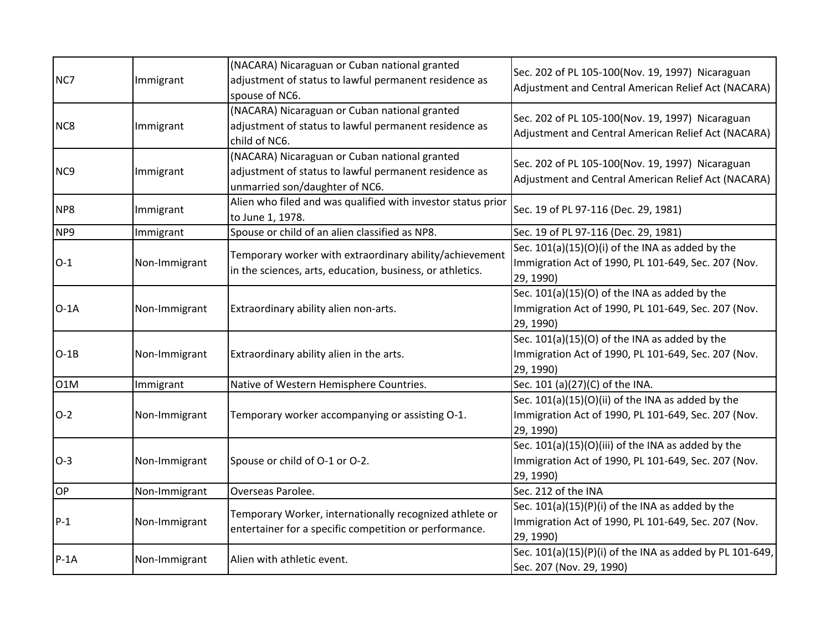| NC7              | Immigrant     | (NACARA) Nicaraguan or Cuban national granted<br>adjustment of status to lawful permanent residence as<br>spouse of NC6.                 | Sec. 202 of PL 105-100(Nov. 19, 1997) Nicaraguan<br>Adjustment and Central American Relief Act (NACARA)                |
|------------------|---------------|------------------------------------------------------------------------------------------------------------------------------------------|------------------------------------------------------------------------------------------------------------------------|
| NC <sub>8</sub>  | Immigrant     | (NACARA) Nicaraguan or Cuban national granted<br>adjustment of status to lawful permanent residence as<br>child of NC6.                  | Sec. 202 of PL 105-100(Nov. 19, 1997) Nicaraguan<br>Adjustment and Central American Relief Act (NACARA)                |
| NC <sub>9</sub>  | Immigrant     | (NACARA) Nicaraguan or Cuban national granted<br>adjustment of status to lawful permanent residence as<br>unmarried son/daughter of NC6. | Sec. 202 of PL 105-100(Nov. 19, 1997) Nicaraguan<br>Adjustment and Central American Relief Act (NACARA)                |
| NP8              | Immigrant     | Alien who filed and was qualified with investor status prior<br>to June 1, 1978.                                                         | Sec. 19 of PL 97-116 (Dec. 29, 1981)                                                                                   |
| NP9              | Immigrant     | Spouse or child of an alien classified as NP8.                                                                                           | Sec. 19 of PL 97-116 (Dec. 29, 1981)                                                                                   |
| $O-1$            | Non-Immigrant | Temporary worker with extraordinary ability/achievement<br>in the sciences, arts, education, business, or athletics.                     | Sec. 101(a)(15)(O)(i) of the INA as added by the<br>Immigration Act of 1990, PL 101-649, Sec. 207 (Nov.<br>29, 1990)   |
| $O-1A$           | Non-Immigrant | Extraordinary ability alien non-arts.                                                                                                    | Sec. 101(a)(15)(O) of the INA as added by the<br>Immigration Act of 1990, PL 101-649, Sec. 207 (Nov.<br>29, 1990)      |
| $O-1B$           | Non-Immigrant | Extraordinary ability alien in the arts.                                                                                                 | Sec. 101(a)(15)(O) of the INA as added by the<br>Immigration Act of 1990, PL 101-649, Sec. 207 (Nov.<br>29, 1990)      |
| O <sub>1</sub> M | Immigrant     | Native of Western Hemisphere Countries.                                                                                                  | Sec. 101 (a)(27)(C) of the INA.                                                                                        |
| $O-2$            | Non-Immigrant | Temporary worker accompanying or assisting O-1.                                                                                          | Sec. 101(a)(15)(O)(ii) of the INA as added by the<br>Immigration Act of 1990, PL 101-649, Sec. 207 (Nov.<br>29, 1990)  |
| $O-3$            | Non-Immigrant | Spouse or child of O-1 or O-2.                                                                                                           | Sec. 101(a)(15)(O)(iii) of the INA as added by the<br>Immigration Act of 1990, PL 101-649, Sec. 207 (Nov.<br>29, 1990) |
| OP               | Non-Immigrant | Overseas Parolee.                                                                                                                        | Sec. 212 of the INA                                                                                                    |
| $P-1$            | Non-Immigrant | Temporary Worker, internationally recognized athlete or<br>entertainer for a specific competition or performance.                        | Sec. $101(a)(15)(P)(i)$ of the INA as added by the<br>Immigration Act of 1990, PL 101-649, Sec. 207 (Nov.<br>29, 1990) |
| $P-1A$           | Non-Immigrant | Alien with athletic event.                                                                                                               | Sec. 101(a)(15)(P)(i) of the INA as added by PL 101-649,<br>Sec. 207 (Nov. 29, 1990)                                   |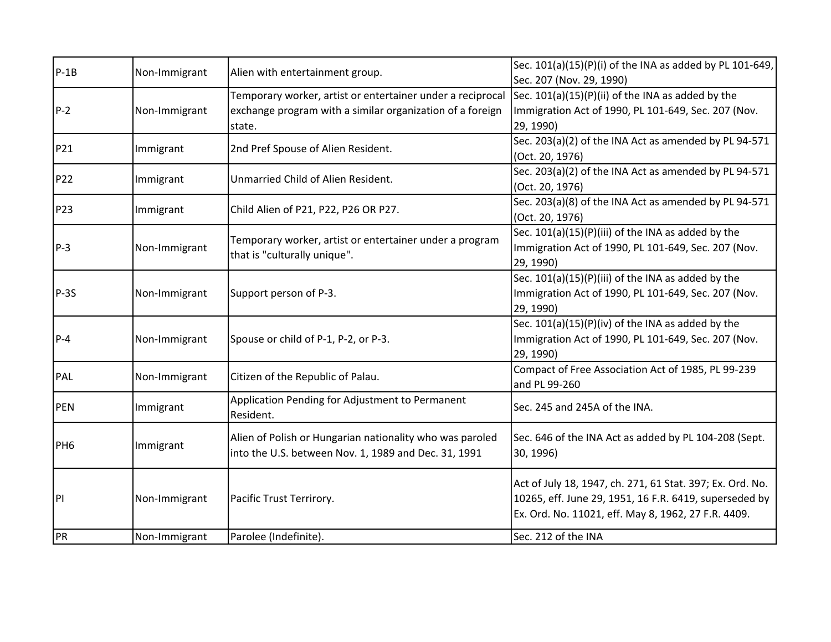| $P-1B$          | Non-Immigrant | Alien with entertainment group.                                                         | Sec. 101(a)(15)(P)(i) of the INA as added by PL 101-649,  |
|-----------------|---------------|-----------------------------------------------------------------------------------------|-----------------------------------------------------------|
|                 |               |                                                                                         | Sec. 207 (Nov. 29, 1990)                                  |
|                 |               | Temporary worker, artist or entertainer under a reciprocal                              | Sec. $101(a)(15)(P)(ii)$ of the INA as added by the       |
| $P-2$           | Non-Immigrant | exchange program with a similar organization of a foreign                               | Immigration Act of 1990, PL 101-649, Sec. 207 (Nov.       |
|                 |               | state.                                                                                  | 29, 1990)                                                 |
| P21             | Immigrant     | 2nd Pref Spouse of Alien Resident.                                                      | Sec. 203(a)(2) of the INA Act as amended by PL 94-571     |
|                 |               |                                                                                         | (Oct. 20, 1976)                                           |
| <b>P22</b>      | Immigrant     | Unmarried Child of Alien Resident.                                                      | Sec. 203(a)(2) of the INA Act as amended by PL 94-571     |
|                 |               |                                                                                         | (Oct. 20, 1976)                                           |
| P23             |               | Child Alien of P21, P22, P26 OR P27.                                                    | Sec. 203(a)(8) of the INA Act as amended by PL 94-571     |
|                 | Immigrant     |                                                                                         | (Oct. 20, 1976)                                           |
|                 |               |                                                                                         | Sec. 101(a)(15)(P)(iii) of the INA as added by the        |
| $P-3$           | Non-Immigrant | Temporary worker, artist or entertainer under a program<br>that is "culturally unique". | Immigration Act of 1990, PL 101-649, Sec. 207 (Nov.       |
|                 |               |                                                                                         | 29, 1990)                                                 |
|                 |               |                                                                                         | Sec. 101(a)(15)(P)(iii) of the INA as added by the        |
| $P-3S$          | Non-Immigrant | Support person of P-3.                                                                  | Immigration Act of 1990, PL 101-649, Sec. 207 (Nov.       |
|                 |               |                                                                                         | 29, 1990)                                                 |
|                 |               |                                                                                         | Sec. 101(a)(15)(P)(iv) of the INA as added by the         |
| $P-4$           | Non-Immigrant | Spouse or child of P-1, P-2, or P-3.                                                    | Immigration Act of 1990, PL 101-649, Sec. 207 (Nov.       |
|                 |               |                                                                                         | 29, 1990)                                                 |
| PAL             | Non-Immigrant | Citizen of the Republic of Palau.                                                       | Compact of Free Association Act of 1985, PL 99-239        |
|                 |               |                                                                                         | and PL 99-260                                             |
| <b>PEN</b>      |               | Application Pending for Adjustment to Permanent                                         | Sec. 245 and 245A of the INA.                             |
|                 | Immigrant     | Resident.                                                                               |                                                           |
|                 |               | Alien of Polish or Hungarian nationality who was paroled                                | Sec. 646 of the INA Act as added by PL 104-208 (Sept.     |
| PH <sub>6</sub> | Immigrant     |                                                                                         | 30, 1996)                                                 |
|                 |               | into the U.S. between Nov. 1, 1989 and Dec. 31, 1991                                    |                                                           |
|                 |               |                                                                                         | Act of July 18, 1947, ch. 271, 61 Stat. 397; Ex. Ord. No. |
| P               | Non-Immigrant | Pacific Trust Terrirory.                                                                | 10265, eff. June 29, 1951, 16 F.R. 6419, superseded by    |
|                 |               |                                                                                         | Ex. Ord. No. 11021, eff. May 8, 1962, 27 F.R. 4409.       |
|                 |               |                                                                                         |                                                           |
| <b>PR</b>       | Non-Immigrant | Parolee (Indefinite).                                                                   | Sec. 212 of the INA                                       |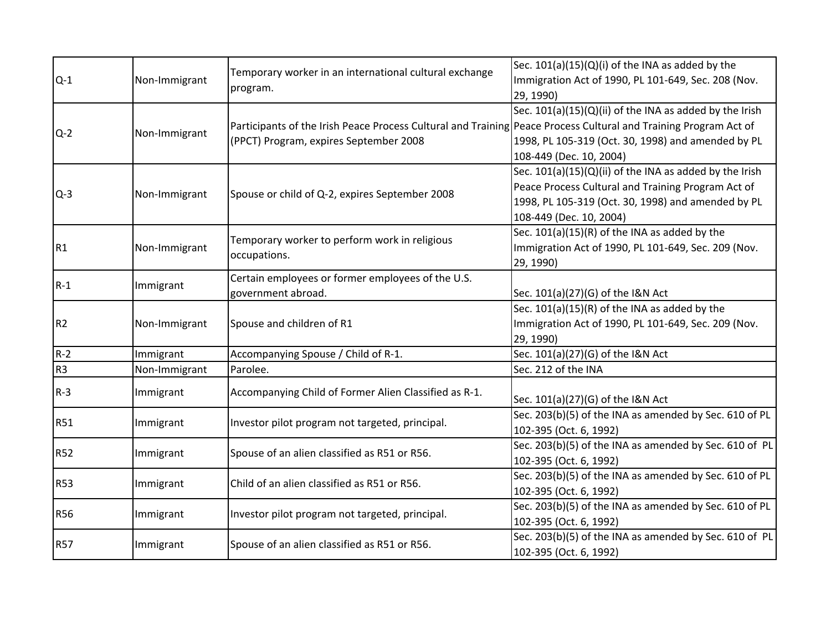|                |               | Temporary worker in an international cultural exchange<br>program.                                               | Sec. $101(a)(15)(Q)(i)$ of the INA as added by the               |
|----------------|---------------|------------------------------------------------------------------------------------------------------------------|------------------------------------------------------------------|
| $Q-1$          | Non-Immigrant |                                                                                                                  | Immigration Act of 1990, PL 101-649, Sec. 208 (Nov.<br>29, 1990) |
|                |               |                                                                                                                  | Sec. 101(a)(15)(Q)(ii) of the INA as added by the Irish          |
| $Q-2$          | Non-Immigrant | Participants of the Irish Peace Process Cultural and Training Peace Process Cultural and Training Program Act of |                                                                  |
|                |               | (PPCT) Program, expires September 2008                                                                           | 1998, PL 105-319 (Oct. 30, 1998) and amended by PL               |
|                |               |                                                                                                                  | 108-449 (Dec. 10, 2004)                                          |
|                |               |                                                                                                                  | Sec. $101(a)(15)(Q)(ii)$ of the INA as added by the Irish        |
| $Q-3$          | Non-Immigrant | Spouse or child of Q-2, expires September 2008                                                                   | Peace Process Cultural and Training Program Act of               |
|                |               |                                                                                                                  | 1998, PL 105-319 (Oct. 30, 1998) and amended by PL               |
|                |               |                                                                                                                  | 108-449 (Dec. 10, 2004)                                          |
|                |               |                                                                                                                  | Sec. 101(a)(15)(R) of the INA as added by the                    |
| R <sub>1</sub> | Non-Immigrant | Temporary worker to perform work in religious<br>occupations.                                                    | Immigration Act of 1990, PL 101-649, Sec. 209 (Nov.              |
|                |               |                                                                                                                  | 29, 1990)                                                        |
| $R-1$          |               | Certain employees or former employees of the U.S.                                                                |                                                                  |
|                | Immigrant     | government abroad.                                                                                               | Sec. 101(a)(27)(G) of the I&N Act                                |
|                | Non-Immigrant | Spouse and children of R1                                                                                        | Sec. $101(a)(15)(R)$ of the INA as added by the                  |
| R <sub>2</sub> |               |                                                                                                                  | Immigration Act of 1990, PL 101-649, Sec. 209 (Nov.              |
|                |               |                                                                                                                  | 29, 1990)                                                        |
| $R-2$          | Immigrant     | Accompanying Spouse / Child of R-1.                                                                              | Sec. 101(a)(27)(G) of the I&N Act                                |
| R <sub>3</sub> | Non-Immigrant | Parolee.                                                                                                         | Sec. 212 of the INA                                              |
| $R-3$          | Immigrant     | Accompanying Child of Former Alien Classified as R-1.                                                            |                                                                  |
|                |               |                                                                                                                  | Sec. 101(a)(27)(G) of the I&N Act                                |
| <b>R51</b>     | Immigrant     | Investor pilot program not targeted, principal.                                                                  | Sec. 203(b)(5) of the INA as amended by Sec. 610 of PL           |
|                |               |                                                                                                                  | 102-395 (Oct. 6, 1992)                                           |
| <b>R52</b>     | Immigrant     | Spouse of an alien classified as R51 or R56.                                                                     | Sec. 203(b)(5) of the INA as amended by Sec. 610 of PL           |
|                |               |                                                                                                                  | 102-395 (Oct. 6, 1992)                                           |
| <b>R53</b>     | Immigrant     | Child of an alien classified as R51 or R56.                                                                      | Sec. 203(b)(5) of the INA as amended by Sec. 610 of PL           |
|                |               |                                                                                                                  | 102-395 (Oct. 6, 1992)                                           |
| <b>R56</b>     | Immigrant     | Investor pilot program not targeted, principal.                                                                  | Sec. 203(b)(5) of the INA as amended by Sec. 610 of PL           |
|                |               |                                                                                                                  | 102-395 (Oct. 6, 1992)                                           |
| <b>R57</b>     | Immigrant     | Spouse of an alien classified as R51 or R56.                                                                     | Sec. 203(b)(5) of the INA as amended by Sec. 610 of PL           |
|                |               |                                                                                                                  | 102-395 (Oct. 6, 1992)                                           |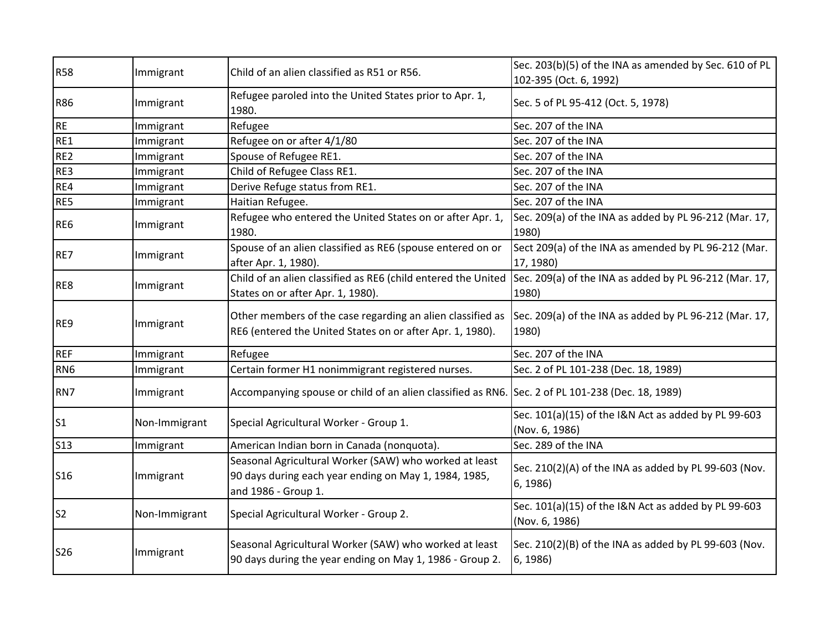| <b>R58</b>      | Immigrant     | Child of an alien classified as R51 or R56.                                                                                                               | Sec. 203(b)(5) of the INA as amended by Sec. 610 of PL                 |
|-----------------|---------------|-----------------------------------------------------------------------------------------------------------------------------------------------------------|------------------------------------------------------------------------|
|                 |               |                                                                                                                                                           | 102-395 (Oct. 6, 1992)                                                 |
| <b>R86</b>      | Immigrant     | Refugee paroled into the United States prior to Apr. 1,<br>1980.                                                                                          | Sec. 5 of PL 95-412 (Oct. 5, 1978)                                     |
| <b>RE</b>       | Immigrant     | Refugee                                                                                                                                                   | Sec. 207 of the INA                                                    |
| RE1             | Immigrant     | Refugee on or after 4/1/80                                                                                                                                | Sec. 207 of the INA                                                    |
| RE <sub>2</sub> | Immigrant     | Spouse of Refugee RE1.                                                                                                                                    | Sec. 207 of the INA                                                    |
| RE3             | Immigrant     | Child of Refugee Class RE1.                                                                                                                               | Sec. 207 of the INA                                                    |
| RE4             | Immigrant     | Derive Refuge status from RE1.                                                                                                                            | Sec. 207 of the INA                                                    |
| RE5             | Immigrant     | Haitian Refugee.                                                                                                                                          | Sec. 207 of the INA                                                    |
| RE6             | Immigrant     | Refugee who entered the United States on or after Apr. 1,<br>1980.                                                                                        | Sec. 209(a) of the INA as added by PL 96-212 (Mar. 17,<br>1980)        |
| RE7             | Immigrant     | Spouse of an alien classified as RE6 (spouse entered on or<br>after Apr. 1, 1980).                                                                        | Sect 209(a) of the INA as amended by PL 96-212 (Mar.<br>17, 1980)      |
| RE8             | Immigrant     | Child of an alien classified as RE6 (child entered the United Sec. 209(a) of the INA as added by PL 96-212 (Mar. 17,<br>States on or after Apr. 1, 1980). | 1980)                                                                  |
| RE9             | Immigrant     | Other members of the case regarding an alien classified as<br>RE6 (entered the United States on or after Apr. 1, 1980).                                   | Sec. 209(a) of the INA as added by PL 96-212 (Mar. 17,<br>1980)        |
| <b>REF</b>      | Immigrant     | Refugee                                                                                                                                                   | Sec. 207 of the INA                                                    |
| RN <sub>6</sub> | Immigrant     | Certain former H1 nonimmigrant registered nurses.                                                                                                         | Sec. 2 of PL 101-238 (Dec. 18, 1989)                                   |
| RN7             | Immigrant     | Accompanying spouse or child of an alien classified as RN6. Sec. 2 of PL 101-238 (Dec. 18, 1989)                                                          |                                                                        |
| S <sub>1</sub>  | Non-Immigrant | Special Agricultural Worker - Group 1.                                                                                                                    | Sec. 101(a)(15) of the I&N Act as added by PL 99-603<br>(Nov. 6, 1986) |
| <b>S13</b>      | Immigrant     | American Indian born in Canada (nonquota).                                                                                                                | Sec. 289 of the INA                                                    |
| <b>S16</b>      | Immigrant     | Seasonal Agricultural Worker (SAW) who worked at least<br>90 days during each year ending on May 1, 1984, 1985,<br>and 1986 - Group 1.                    | Sec. 210(2)(A) of the INA as added by PL 99-603 (Nov.<br>6, 1986)      |
| S <sub>2</sub>  | Non-Immigrant | Special Agricultural Worker - Group 2.                                                                                                                    | Sec. 101(a)(15) of the I&N Act as added by PL 99-603<br>(Nov. 6, 1986) |
| <b>S26</b>      | Immigrant     | Seasonal Agricultural Worker (SAW) who worked at least<br>90 days during the year ending on May 1, 1986 - Group 2.                                        | Sec. 210(2)(B) of the INA as added by PL 99-603 (Nov.<br>6, 1986)      |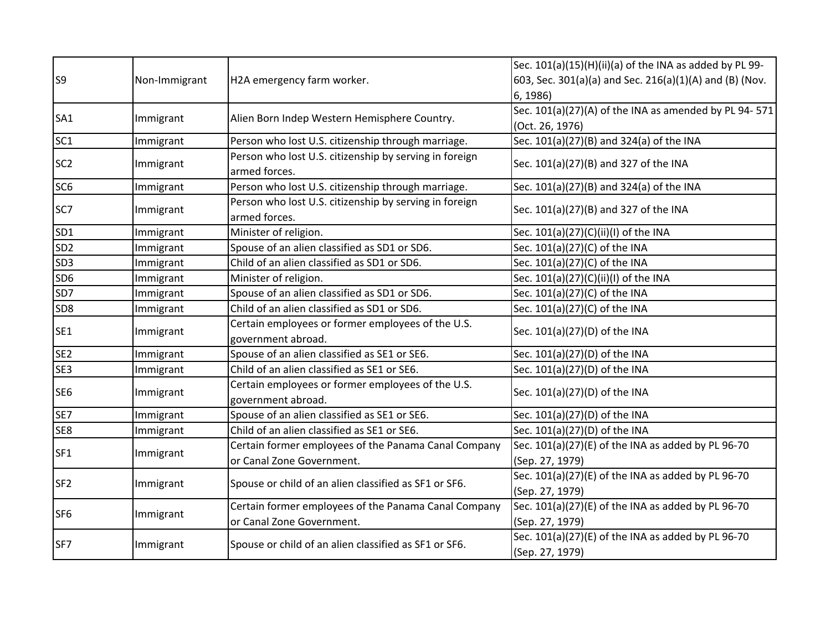| S <sub>9</sub>  | Non-Immigrant | H2A emergency farm worker.                                                        | Sec. 101(a)(15)(H)(ii)(a) of the INA as added by PL 99-<br>603, Sec. 301(a)(a) and Sec. 216(a)(1)(A) and (B) (Nov.<br>6, 1986) |
|-----------------|---------------|-----------------------------------------------------------------------------------|--------------------------------------------------------------------------------------------------------------------------------|
| SA <sub>1</sub> | Immigrant     | Alien Born Indep Western Hemisphere Country.                                      | Sec. 101(a)(27)(A) of the INA as amended by PL 94-571<br>(Oct. 26, 1976)                                                       |
| SC <sub>1</sub> | Immigrant     | Person who lost U.S. citizenship through marriage.                                | Sec. 101(a)(27)(B) and 324(a) of the INA                                                                                       |
| SC <sub>2</sub> | Immigrant     | Person who lost U.S. citizenship by serving in foreign<br>armed forces.           | Sec. 101(a)(27)(B) and 327 of the INA                                                                                          |
| SC <sub>6</sub> | Immigrant     | Person who lost U.S. citizenship through marriage.                                | Sec. 101(a)(27)(B) and 324(a) of the INA                                                                                       |
| SC7             | Immigrant     | Person who lost U.S. citizenship by serving in foreign<br>armed forces.           | Sec. 101(a)(27)(B) and 327 of the INA                                                                                          |
| SD <sub>1</sub> | Immigrant     | Minister of religion.                                                             | Sec. 101(a)(27)(C)(ii)(I) of the INA                                                                                           |
| SD <sub>2</sub> | Immigrant     | Spouse of an alien classified as SD1 or SD6.                                      | Sec. 101(a)(27)(C) of the INA                                                                                                  |
| SD <sub>3</sub> | Immigrant     | Child of an alien classified as SD1 or SD6.                                       | Sec. 101(a)(27)(C) of the INA                                                                                                  |
| SD <sub>6</sub> | Immigrant     | Minister of religion.                                                             | Sec. 101(a)(27)(C)(ii)(I) of the INA                                                                                           |
| SD7             | Immigrant     | Spouse of an alien classified as SD1 or SD6.                                      | Sec. 101(a)(27)(C) of the INA                                                                                                  |
| SD <sub>8</sub> | Immigrant     | Child of an alien classified as SD1 or SD6.                                       | Sec. 101(a)(27)(C) of the INA                                                                                                  |
| SE <sub>1</sub> | Immigrant     | Certain employees or former employees of the U.S.<br>government abroad.           | Sec. 101(a)(27)(D) of the INA                                                                                                  |
| SE <sub>2</sub> | Immigrant     | Spouse of an alien classified as SE1 or SE6.                                      | Sec. 101(a)(27)(D) of the INA                                                                                                  |
| SE3             | Immigrant     | Child of an alien classified as SE1 or SE6.                                       | Sec. 101(a)(27)(D) of the INA                                                                                                  |
| SE <sub>6</sub> | Immigrant     | Certain employees or former employees of the U.S.<br>government abroad.           | Sec. 101(a)(27)(D) of the INA                                                                                                  |
| SE7             | Immigrant     | Spouse of an alien classified as SE1 or SE6.                                      | Sec. 101(a)(27)(D) of the INA                                                                                                  |
| SE8             | Immigrant     | Child of an alien classified as SE1 or SE6.                                       | Sec. 101(a)(27)(D) of the INA                                                                                                  |
| SF <sub>1</sub> | Immigrant     | Certain former employees of the Panama Canal Company<br>or Canal Zone Government. | Sec. 101(a)(27)(E) of the INA as added by PL 96-70<br>(Sep. 27, 1979)                                                          |
| SF <sub>2</sub> | Immigrant     | Spouse or child of an alien classified as SF1 or SF6.                             | Sec. 101(a)(27)(E) of the INA as added by PL 96-70<br>(Sep. 27, 1979)                                                          |
| SF <sub>6</sub> | Immigrant     | Certain former employees of the Panama Canal Company<br>or Canal Zone Government. | Sec. 101(a)(27)(E) of the INA as added by PL 96-70<br>(Sep. 27, 1979)                                                          |
| SF7             | Immigrant     | Spouse or child of an alien classified as SF1 or SF6.                             | Sec. 101(a)(27)(E) of the INA as added by PL 96-70<br>(Sep. 27, 1979)                                                          |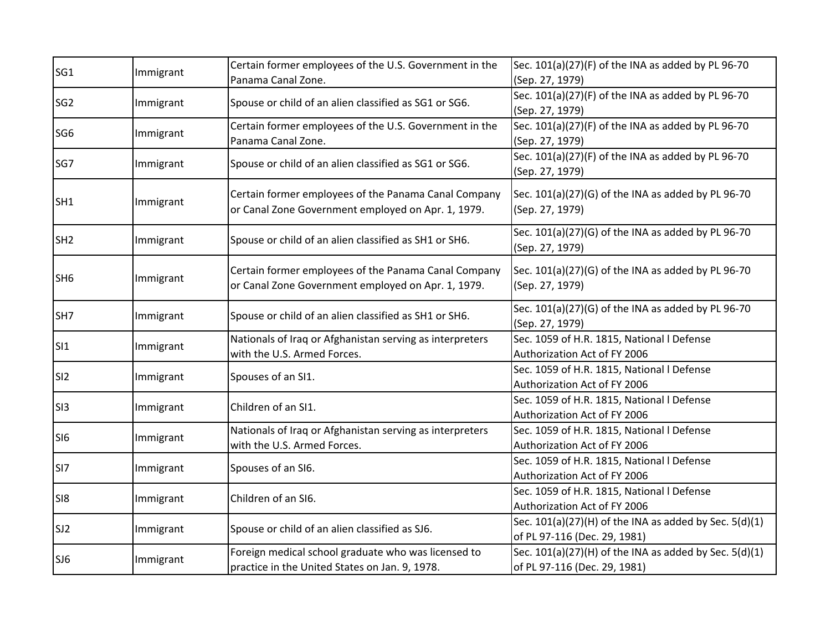| SG <sub>1</sub> | Immigrant | Certain former employees of the U.S. Government in the<br>Panama Canal Zone.                               | Sec. 101(a)(27)(F) of the INA as added by PL 96-70<br>(Sep. 27, 1979)                      |
|-----------------|-----------|------------------------------------------------------------------------------------------------------------|--------------------------------------------------------------------------------------------|
| SG <sub>2</sub> | Immigrant | Spouse or child of an alien classified as SG1 or SG6.                                                      | Sec. 101(a)(27)(F) of the INA as added by PL 96-70<br>(Sep. 27, 1979)                      |
| SG <sub>6</sub> | Immigrant | Certain former employees of the U.S. Government in the<br>Panama Canal Zone.                               | Sec. 101(a)(27)(F) of the INA as added by PL 96-70<br>(Sep. 27, 1979)                      |
| SG7             | Immigrant | Spouse or child of an alien classified as SG1 or SG6.                                                      | Sec. 101(a)(27)(F) of the INA as added by PL 96-70<br>(Sep. 27, 1979)                      |
| SH <sub>1</sub> | Immigrant | Certain former employees of the Panama Canal Company<br>or Canal Zone Government employed on Apr. 1, 1979. | Sec. 101(a)(27)(G) of the INA as added by PL 96-70<br>(Sep. 27, 1979)                      |
| SH <sub>2</sub> | Immigrant | Spouse or child of an alien classified as SH1 or SH6.                                                      | Sec. 101(a)(27)(G) of the INA as added by PL 96-70<br>(Sep. 27, 1979)                      |
| SH <sub>6</sub> | Immigrant | Certain former employees of the Panama Canal Company<br>or Canal Zone Government employed on Apr. 1, 1979. | Sec. 101(a)(27)(G) of the INA as added by PL 96-70<br>(Sep. 27, 1979)                      |
| SH7             | Immigrant | Spouse or child of an alien classified as SH1 or SH6.                                                      | Sec. 101(a)(27)(G) of the INA as added by PL 96-70<br>(Sep. 27, 1979)                      |
| SI1             | Immigrant | Nationals of Iraq or Afghanistan serving as interpreters<br>with the U.S. Armed Forces.                    | Sec. 1059 of H.R. 1815, National I Defense<br>Authorization Act of FY 2006                 |
| SI <sub>2</sub> | Immigrant | Spouses of an SI1.                                                                                         | Sec. 1059 of H.R. 1815, National I Defense<br>Authorization Act of FY 2006                 |
| S13             | Immigrant | Children of an SI1.                                                                                        | Sec. 1059 of H.R. 1815, National I Defense<br>Authorization Act of FY 2006                 |
| SI <sub>6</sub> | Immigrant | Nationals of Iraq or Afghanistan serving as interpreters<br>with the U.S. Armed Forces.                    | Sec. 1059 of H.R. 1815, National I Defense<br>Authorization Act of FY 2006                 |
| SI7             | Immigrant | Spouses of an SI6.                                                                                         | Sec. 1059 of H.R. 1815, National I Defense<br>Authorization Act of FY 2006                 |
| SI8             | Immigrant | Children of an SI6.                                                                                        | Sec. 1059 of H.R. 1815, National I Defense<br>Authorization Act of FY 2006                 |
| SJ2             | Immigrant | Spouse or child of an alien classified as SJ6.                                                             | Sec. $101(a)(27)(H)$ of the INA as added by Sec. $5(d)(1)$<br>of PL 97-116 (Dec. 29, 1981) |
| SJ6             | Immigrant | Foreign medical school graduate who was licensed to<br>practice in the United States on Jan. 9, 1978.      | Sec. $101(a)(27)(H)$ of the INA as added by Sec. $5(d)(1)$<br>of PL 97-116 (Dec. 29, 1981) |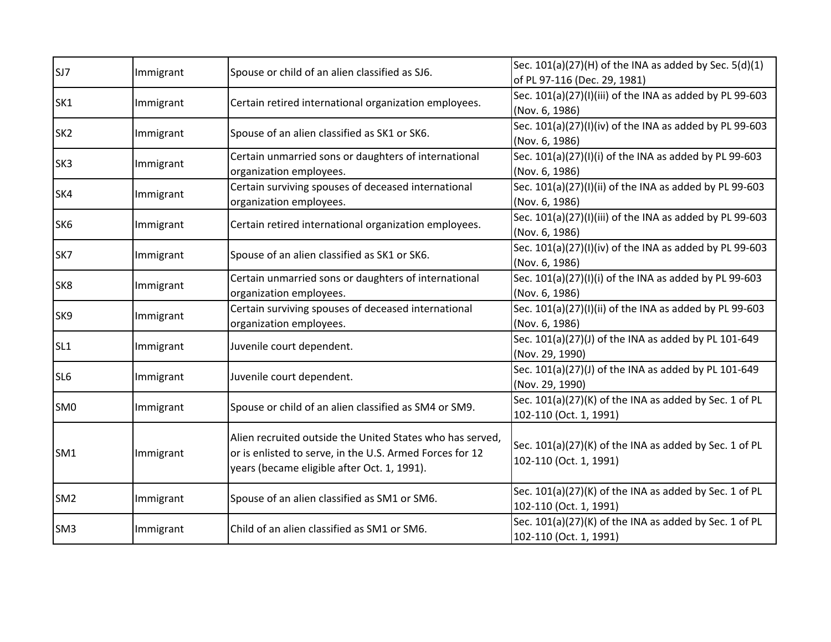| SJ7             |           | Spouse or child of an alien classified as SJ6.            | Sec. $101(a)(27)(H)$ of the INA as added by Sec. 5(d)(1) |
|-----------------|-----------|-----------------------------------------------------------|----------------------------------------------------------|
|                 | Immigrant |                                                           | of PL 97-116 (Dec. 29, 1981)                             |
| SK1             | Immigrant |                                                           | Sec. 101(a)(27)(I)(iii) of the INA as added by PL 99-603 |
|                 |           | Certain retired international organization employees.     | (Nov. 6, 1986)                                           |
| SK <sub>2</sub> |           | Spouse of an alien classified as SK1 or SK6.              | Sec. 101(a)(27)(I)(iv) of the INA as added by PL 99-603  |
|                 | Immigrant |                                                           | (Nov. 6, 1986)                                           |
| SK <sub>3</sub> |           | Certain unmarried sons or daughters of international      | Sec. 101(a)(27)(I)(i) of the INA as added by PL 99-603   |
|                 | Immigrant | organization employees.                                   | (Nov. 6, 1986)                                           |
|                 |           | Certain surviving spouses of deceased international       | Sec. 101(a)(27)(I)(ii) of the INA as added by PL 99-603  |
| SK4             | Immigrant | organization employees.                                   | (Nov. 6, 1986)                                           |
|                 |           |                                                           | Sec. 101(a)(27)(I)(iii) of the INA as added by PL 99-603 |
| SK <sub>6</sub> | Immigrant | Certain retired international organization employees.     | (Nov. 6, 1986)                                           |
|                 |           |                                                           | Sec. 101(a)(27)(I)(iv) of the INA as added by PL 99-603  |
| SK7             | Immigrant | Spouse of an alien classified as SK1 or SK6.              | (Nov. 6, 1986)                                           |
|                 |           | Certain unmarried sons or daughters of international      | Sec. 101(a)(27)(I)(i) of the INA as added by PL 99-603   |
| SK8             | Immigrant | organization employees.                                   | (Nov. 6, 1986)                                           |
| SK9             |           | Certain surviving spouses of deceased international       | Sec. 101(a)(27)(I)(ii) of the INA as added by PL 99-603  |
|                 | Immigrant | organization employees.                                   | (Nov. 6, 1986)                                           |
| SL <sub>1</sub> |           | Juvenile court dependent.                                 | Sec. 101(a)(27)(J) of the INA as added by PL 101-649     |
|                 | Immigrant |                                                           | (Nov. 29, 1990)                                          |
| SL <sub>6</sub> |           | Juvenile court dependent.                                 | Sec. 101(a)(27)(J) of the INA as added by PL 101-649     |
|                 | Immigrant |                                                           | (Nov. 29, 1990)                                          |
| SM <sub>0</sub> |           | Spouse or child of an alien classified as SM4 or SM9.     | Sec. 101(a)(27)(K) of the INA as added by Sec. 1 of PL   |
|                 | Immigrant |                                                           | 102-110 (Oct. 1, 1991)                                   |
|                 |           | Alien recruited outside the United States who has served, |                                                          |
| SM1             |           |                                                           | Sec. 101(a)(27)(K) of the INA as added by Sec. 1 of PL   |
|                 | Immigrant | or is enlisted to serve, in the U.S. Armed Forces for 12  | 102-110 (Oct. 1, 1991)                                   |
|                 |           | years (became eligible after Oct. 1, 1991).               |                                                          |
| SM <sub>2</sub> |           | Spouse of an alien classified as SM1 or SM6.              | Sec. 101(a)(27)(K) of the INA as added by Sec. 1 of PL   |
|                 | Immigrant |                                                           | 102-110 (Oct. 1, 1991)                                   |
|                 |           |                                                           | Sec. 101(a)(27)(K) of the INA as added by Sec. 1 of PL   |
| SM <sub>3</sub> | Immigrant | Child of an alien classified as SM1 or SM6.               | 102-110 (Oct. 1, 1991)                                   |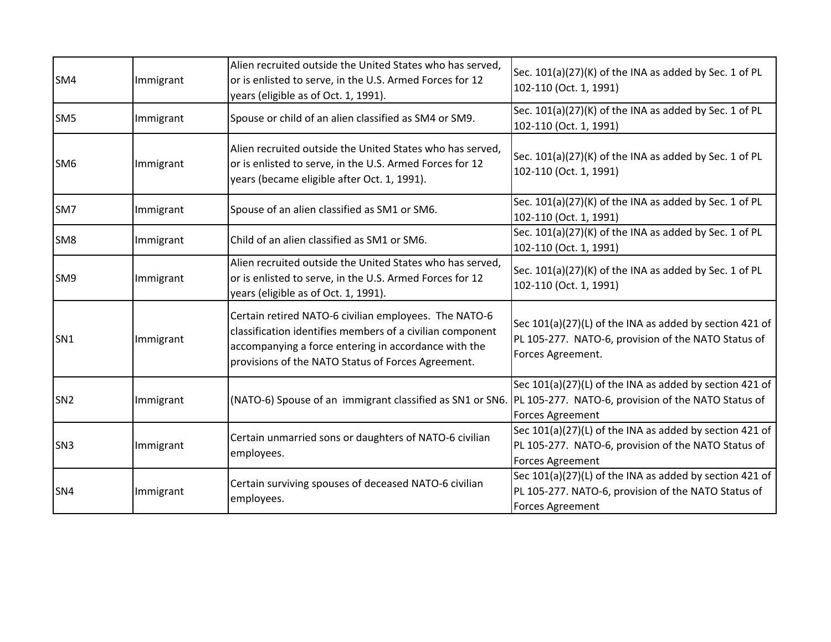| SM4             | Immigrant | Alien recruited outside the United States who has served,<br>or is enlisted to serve, in the U.S. Armed Forces for 12<br>years (eligible as of Oct. 1, 1991).                                                                    | Sec. 101(a)(27)(K) of the INA as added by Sec. 1 of PL<br>102-110 (Oct. 1, 1991)                                                          |
|-----------------|-----------|----------------------------------------------------------------------------------------------------------------------------------------------------------------------------------------------------------------------------------|-------------------------------------------------------------------------------------------------------------------------------------------|
| SM <sub>5</sub> | Immigrant | Spouse or child of an alien classified as SM4 or SM9.                                                                                                                                                                            | Sec. 101(a)(27)(K) of the INA as added by Sec. 1 of PL<br>102-110 (Oct. 1, 1991)                                                          |
| SM <sub>6</sub> | Immigrant | Alien recruited outside the United States who has served,<br>or is enlisted to serve, in the U.S. Armed Forces for 12<br>years (became eligible after Oct. 1, 1991).                                                             | Sec. 101(a)(27)(K) of the INA as added by Sec. 1 of PL<br>102-110 (Oct. 1, 1991)                                                          |
| SM7             | Immigrant | Spouse of an alien classified as SM1 or SM6.                                                                                                                                                                                     | Sec. 101(a)(27)(K) of the INA as added by Sec. 1 of PL<br>102-110 (Oct. 1, 1991)                                                          |
| SM <sub>8</sub> | Immigrant | Child of an alien classified as SM1 or SM6.                                                                                                                                                                                      | Sec. 101(a)(27)(K) of the INA as added by Sec. 1 of PL<br>102-110 (Oct. 1, 1991)                                                          |
| SM9             | Immigrant | Alien recruited outside the United States who has served,<br>or is enlisted to serve, in the U.S. Armed Forces for 12<br>years (eligible as of Oct. 1, 1991).                                                                    | Sec. 101(a)(27)(K) of the INA as added by Sec. 1 of PL<br>102-110 (Oct. 1, 1991)                                                          |
| SN <sub>1</sub> | Immigrant | Certain retired NATO-6 civilian employees. The NATO-6<br>classification identifies members of a civilian component<br>accompanying a force entering in accordance with the<br>provisions of the NATO Status of Forces Agreement. | Sec 101(a)(27)(L) of the INA as added by section 421 of<br>PL 105-277. NATO-6, provision of the NATO Status of<br>Forces Agreement.       |
| SN <sub>2</sub> | Immigrant | (NATO-6) Spouse of an immigrant classified as SN1 or SN6.                                                                                                                                                                        | Sec 101(a)(27)(L) of the INA as added by section 421 of<br>PL 105-277. NATO-6, provision of the NATO Status of<br><b>Forces Agreement</b> |
| SN <sub>3</sub> | Immigrant | Certain unmarried sons or daughters of NATO-6 civilian<br>employees.                                                                                                                                                             | Sec 101(a)(27)(L) of the INA as added by section 421 of<br>PL 105-277. NATO-6, provision of the NATO Status of<br><b>Forces Agreement</b> |
| SN <sub>4</sub> | Immigrant | Certain surviving spouses of deceased NATO-6 civilian<br>employees.                                                                                                                                                              | Sec 101(a)(27)(L) of the INA as added by section 421 of<br>PL 105-277. NATO-6, provision of the NATO Status of<br>Forces Agreement        |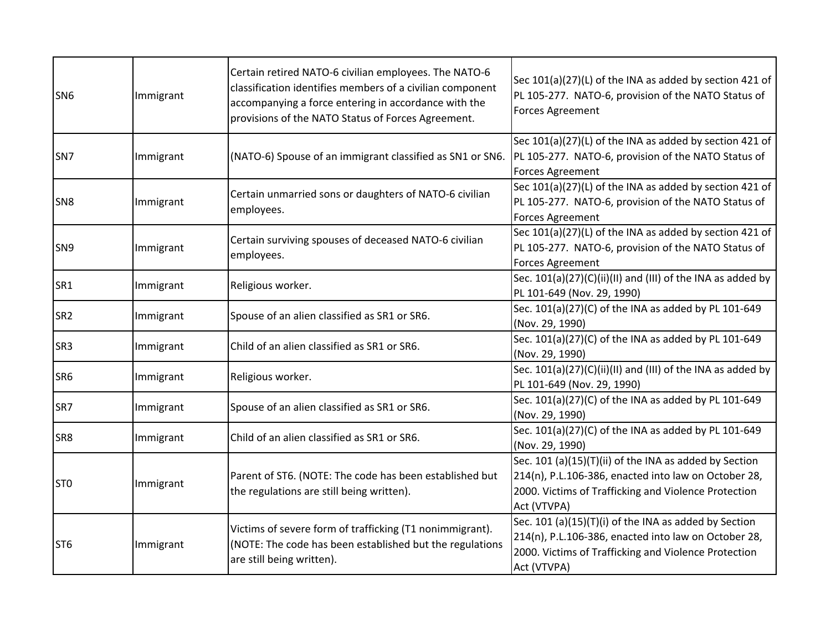| SN <sub>6</sub> | Immigrant | Certain retired NATO-6 civilian employees. The NATO-6<br>classification identifies members of a civilian component<br>accompanying a force entering in accordance with the<br>provisions of the NATO Status of Forces Agreement. | Sec 101(a)(27)(L) of the INA as added by section 421 of<br>PL 105-277. NATO-6, provision of the NATO Status of<br><b>Forces Agreement</b>                                             |
|-----------------|-----------|----------------------------------------------------------------------------------------------------------------------------------------------------------------------------------------------------------------------------------|---------------------------------------------------------------------------------------------------------------------------------------------------------------------------------------|
| SN <sub>7</sub> | Immigrant | (NATO-6) Spouse of an immigrant classified as SN1 or SN6.                                                                                                                                                                        | Sec 101(a)(27)(L) of the INA as added by section 421 of<br>PL 105-277. NATO-6, provision of the NATO Status of<br><b>Forces Agreement</b>                                             |
| SN <sub>8</sub> | Immigrant | Certain unmarried sons or daughters of NATO-6 civilian<br>employees.                                                                                                                                                             | Sec 101(a)(27)(L) of the INA as added by section 421 of<br>PL 105-277. NATO-6, provision of the NATO Status of<br><b>Forces Agreement</b>                                             |
| SN <sub>9</sub> | Immigrant | Certain surviving spouses of deceased NATO-6 civilian<br>employees.                                                                                                                                                              | Sec 101(a)(27)(L) of the INA as added by section 421 of<br>PL 105-277. NATO-6, provision of the NATO Status of<br><b>Forces Agreement</b>                                             |
| SR1             | Immigrant | Religious worker.                                                                                                                                                                                                                | Sec. 101(a)(27)(C)(ii)(II) and (III) of the INA as added by<br>PL 101-649 (Nov. 29, 1990)                                                                                             |
| SR <sub>2</sub> | Immigrant | Spouse of an alien classified as SR1 or SR6.                                                                                                                                                                                     | Sec. 101(a)(27)(C) of the INA as added by PL 101-649<br>(Nov. 29, 1990)                                                                                                               |
| SR <sub>3</sub> | Immigrant | Child of an alien classified as SR1 or SR6.                                                                                                                                                                                      | Sec. 101(a)(27)(C) of the INA as added by PL 101-649<br>(Nov. 29, 1990)                                                                                                               |
| SR <sub>6</sub> | Immigrant | Religious worker.                                                                                                                                                                                                                | Sec. 101(a)(27)(C)(ii)(II) and (III) of the INA as added by<br>PL 101-649 (Nov. 29, 1990)                                                                                             |
| SR7             | Immigrant | Spouse of an alien classified as SR1 or SR6.                                                                                                                                                                                     | Sec. 101(a)(27)(C) of the INA as added by PL 101-649<br>(Nov. 29, 1990)                                                                                                               |
| SR8             | Immigrant | Child of an alien classified as SR1 or SR6.                                                                                                                                                                                      | Sec. 101(a)(27)(C) of the INA as added by PL 101-649<br>(Nov. 29, 1990)                                                                                                               |
| ST <sub>0</sub> | Immigrant | Parent of ST6. (NOTE: The code has been established but<br>the regulations are still being written).                                                                                                                             | Sec. 101 (a)(15)(T)(ii) of the INA as added by Section<br>214(n), P.L.106-386, enacted into law on October 28,<br>2000. Victims of Trafficking and Violence Protection<br>Act (VTVPA) |
| ST <sub>6</sub> | Immigrant | Victims of severe form of trafficking (T1 nonimmigrant).<br>(NOTE: The code has been established but the regulations<br>are still being written).                                                                                | Sec. 101 (a)(15)(T)(i) of the INA as added by Section<br>214(n), P.L.106-386, enacted into law on October 28,<br>2000. Victims of Trafficking and Violence Protection<br>Act (VTVPA)  |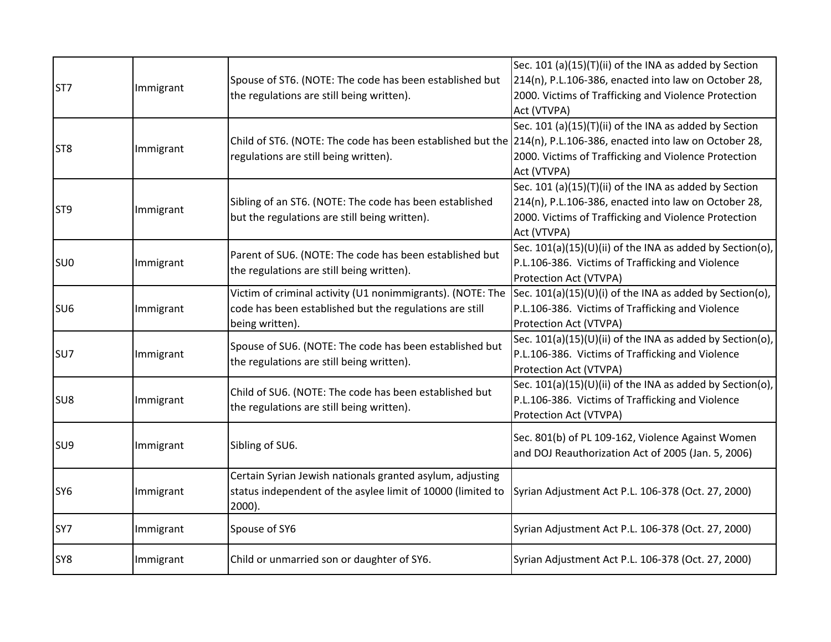| ST7             | Immigrant | Spouse of ST6. (NOTE: The code has been established but<br>the regulations are still being written).                                                     | Sec. 101 (a)(15)(T)(ii) of the INA as added by Section<br>214(n), P.L.106-386, enacted into law on October 28,<br>2000. Victims of Trafficking and Violence Protection<br>Act (VTVPA) |
|-----------------|-----------|----------------------------------------------------------------------------------------------------------------------------------------------------------|---------------------------------------------------------------------------------------------------------------------------------------------------------------------------------------|
| ST <sub>8</sub> | Immigrant | Child of ST6. (NOTE: The code has been established but the 214(n), P.L.106-386, enacted into law on October 28,<br>regulations are still being written). | Sec. 101 (a)(15)(T)(ii) of the INA as added by Section<br>2000. Victims of Trafficking and Violence Protection<br>Act (VTVPA)                                                         |
| ST <sub>9</sub> | Immigrant | Sibling of an ST6. (NOTE: The code has been established<br>but the regulations are still being written).                                                 | Sec. 101 (a)(15)(T)(ii) of the INA as added by Section<br>214(n), P.L.106-386, enacted into law on October 28,<br>2000. Victims of Trafficking and Violence Protection<br>Act (VTVPA) |
| SU <sub>0</sub> | Immigrant | Parent of SU6. (NOTE: The code has been established but<br>the regulations are still being written).                                                     | Sec. 101(a)(15)(U)(ii) of the INA as added by Section(o),<br>P.L.106-386. Victims of Trafficking and Violence<br>Protection Act (VTVPA)                                               |
| SU <sub>6</sub> | Immigrant | Victim of criminal activity (U1 nonimmigrants). (NOTE: The<br>code has been established but the regulations are still<br>being written).                 | Sec. $101(a)(15)(U)(i)$ of the INA as added by Section(o),<br>P.L.106-386. Victims of Trafficking and Violence<br>Protection Act (VTVPA)                                              |
| SU7             | Immigrant | Spouse of SU6. (NOTE: The code has been established but<br>the regulations are still being written).                                                     | Sec. 101(a)(15)(U)(ii) of the INA as added by Section(o),<br>P.L.106-386. Victims of Trafficking and Violence<br>Protection Act (VTVPA)                                               |
| SU8             | Immigrant | Child of SU6. (NOTE: The code has been established but<br>the regulations are still being written).                                                      | Sec. $101(a)(15)(U)(ii)$ of the INA as added by Section(o),<br>P.L.106-386. Victims of Trafficking and Violence<br>Protection Act (VTVPA)                                             |
| SU <sub>9</sub> | Immigrant | Sibling of SU6.                                                                                                                                          | Sec. 801(b) of PL 109-162, Violence Against Women<br>and DOJ Reauthorization Act of 2005 (Jan. 5, 2006)                                                                               |
| SY <sub>6</sub> | Immigrant | Certain Syrian Jewish nationals granted asylum, adjusting<br>status independent of the asylee limit of 10000 (limited to<br>$2000$ ).                    | Syrian Adjustment Act P.L. 106-378 (Oct. 27, 2000)                                                                                                                                    |
| SY7             | Immigrant | Spouse of SY6                                                                                                                                            | Syrian Adjustment Act P.L. 106-378 (Oct. 27, 2000)                                                                                                                                    |
| SY8             | Immigrant | Child or unmarried son or daughter of SY6.                                                                                                               | Syrian Adjustment Act P.L. 106-378 (Oct. 27, 2000)                                                                                                                                    |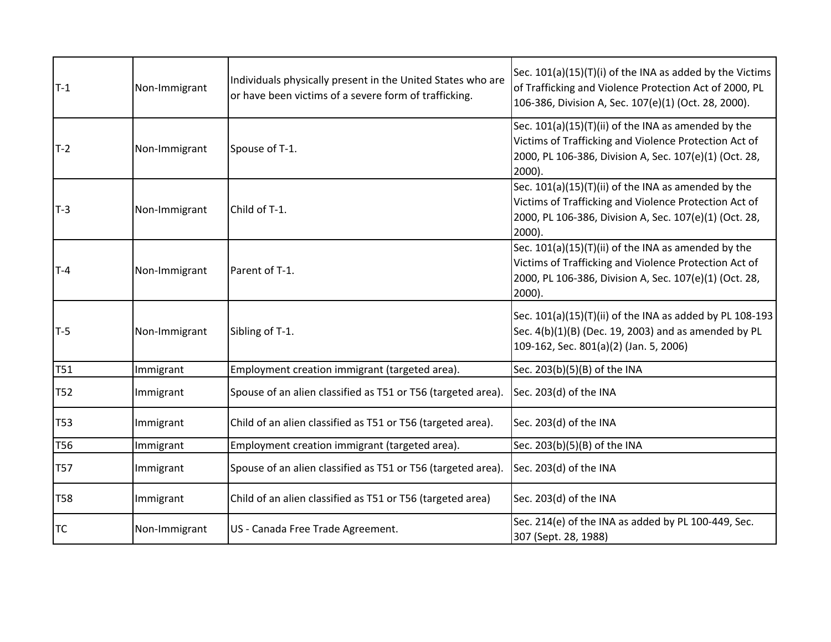| $T-1$           | Non-Immigrant | Individuals physically present in the United States who are<br>or have been victims of a severe form of trafficking. | Sec. 101(a)(15)(T)(i) of the INA as added by the Victims<br>of Trafficking and Violence Protection Act of 2000, PL<br>106-386, Division A, Sec. 107(e)(1) (Oct. 28, 2000).          |
|-----------------|---------------|----------------------------------------------------------------------------------------------------------------------|-------------------------------------------------------------------------------------------------------------------------------------------------------------------------------------|
| $T-2$           | Non-Immigrant | Spouse of T-1.                                                                                                       | Sec. 101(a)(15)(T)(ii) of the INA as amended by the<br>Victims of Trafficking and Violence Protection Act of<br>2000, PL 106-386, Division A, Sec. 107(e)(1) (Oct. 28,<br>2000).    |
| $T-3$           | Non-Immigrant | Child of T-1.                                                                                                        | Sec. 101(a)(15)(T)(ii) of the INA as amended by the<br>Victims of Trafficking and Violence Protection Act of<br>2000, PL 106-386, Division A, Sec. 107(e)(1) (Oct. 28,<br>2000).    |
| $T-4$           | Non-Immigrant | Parent of T-1.                                                                                                       | Sec. 101(a)(15)(T)(ii) of the INA as amended by the<br>Victims of Trafficking and Violence Protection Act of<br>2000, PL 106-386, Division A, Sec. 107(e)(1) (Oct. 28,<br>$2000$ ). |
| $T-5$           | Non-Immigrant | Sibling of T-1.                                                                                                      | Sec. 101(a)(15)(T)(ii) of the INA as added by PL 108-193<br>Sec. 4(b)(1)(B) (Dec. 19, 2003) and as amended by PL<br>109-162, Sec. 801(a)(2) (Jan. 5, 2006)                          |
| <b>T51</b>      | Immigrant     | Employment creation immigrant (targeted area).                                                                       | Sec. 203(b)(5)(B) of the INA                                                                                                                                                        |
| T <sub>52</sub> | Immigrant     | Spouse of an alien classified as T51 or T56 (targeted area).                                                         | Sec. 203(d) of the INA                                                                                                                                                              |
| <b>T53</b>      | Immigrant     | Child of an alien classified as T51 or T56 (targeted area).                                                          | Sec. 203(d) of the INA                                                                                                                                                              |
| T56             | Immigrant     | Employment creation immigrant (targeted area).                                                                       | Sec. 203(b)(5)(B) of the INA                                                                                                                                                        |
| <b>T57</b>      | Immigrant     | Spouse of an alien classified as T51 or T56 (targeted area).                                                         | Sec. 203(d) of the INA                                                                                                                                                              |
| <b>T58</b>      | Immigrant     | Child of an alien classified as T51 or T56 (targeted area)                                                           | Sec. 203(d) of the INA                                                                                                                                                              |
|                 |               |                                                                                                                      |                                                                                                                                                                                     |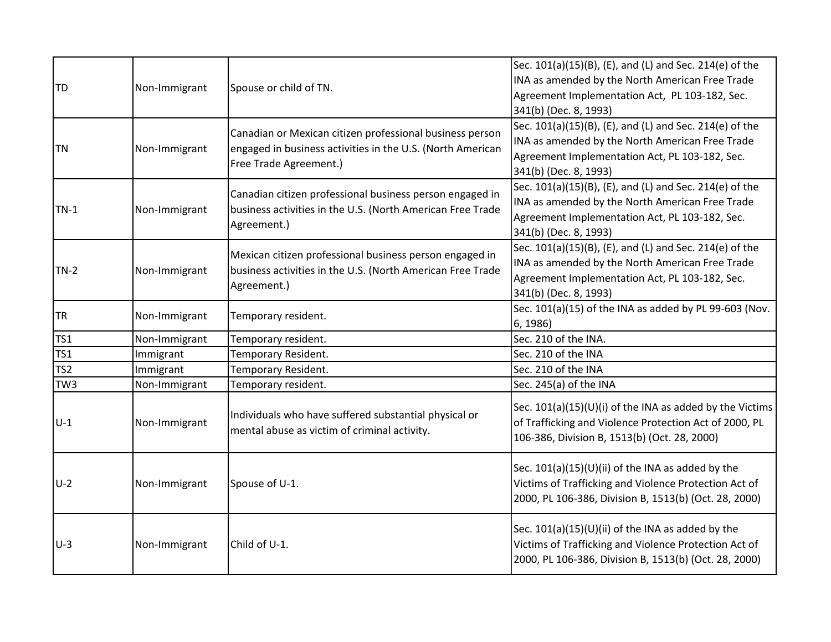| <b>TD</b>       | Non-Immigrant | Spouse or child of TN.                                                                                                                           | Sec. 101(a)(15)(B), (E), and (L) and Sec. 214(e) of the<br>INA as amended by the North American Free Trade<br>Agreement Implementation Act, PL 103-182, Sec.<br>341(b) (Dec. 8, 1993) |
|-----------------|---------------|--------------------------------------------------------------------------------------------------------------------------------------------------|---------------------------------------------------------------------------------------------------------------------------------------------------------------------------------------|
| <b>TN</b>       | Non-Immigrant | Canadian or Mexican citizen professional business person<br>engaged in business activities in the U.S. (North American<br>Free Trade Agreement.) | Sec. 101(a)(15)(B), (E), and (L) and Sec. 214(e) of the<br>INA as amended by the North American Free Trade<br>Agreement Implementation Act, PL 103-182, Sec.<br>341(b) (Dec. 8, 1993) |
| $TN-1$          | Non-Immigrant | Canadian citizen professional business person engaged in<br>business activities in the U.S. (North American Free Trade<br>Agreement.)            | Sec. 101(a)(15)(B), (E), and (L) and Sec. 214(e) of the<br>INA as amended by the North American Free Trade<br>Agreement Implementation Act, PL 103-182, Sec.<br>341(b) (Dec. 8, 1993) |
| $TN-2$          | Non-Immigrant | Mexican citizen professional business person engaged in<br>business activities in the U.S. (North American Free Trade<br>Agreement.)             | Sec. 101(a)(15)(B), (E), and (L) and Sec. 214(e) of the<br>INA as amended by the North American Free Trade<br>Agreement Implementation Act, PL 103-182, Sec.<br>341(b) (Dec. 8, 1993) |
| <b>TR</b>       | Non-Immigrant | Temporary resident.                                                                                                                              | Sec. 101(a)(15) of the INA as added by PL 99-603 (Nov.<br>6, 1986)                                                                                                                    |
| TS1             | Non-Immigrant | Temporary resident.                                                                                                                              | Sec. 210 of the INA.                                                                                                                                                                  |
| TS1             | Immigrant     | Temporary Resident.                                                                                                                              | Sec. 210 of the INA                                                                                                                                                                   |
| TS <sub>2</sub> | Immigrant     | Temporary Resident.                                                                                                                              | Sec. 210 of the INA                                                                                                                                                                   |
| TW <sub>3</sub> | Non-Immigrant | Temporary resident.                                                                                                                              | Sec. 245(a) of the INA                                                                                                                                                                |
| $U-1$           | Non-Immigrant | Individuals who have suffered substantial physical or<br>mental abuse as victim of criminal activity.                                            | Sec. $101(a)(15)(U)(i)$ of the INA as added by the Victims<br>of Trafficking and Violence Protection Act of 2000, PL<br>106-386, Division B, 1513(b) (Oct. 28, 2000)                  |
| $U-2$           | Non-Immigrant | Spouse of U-1.                                                                                                                                   | Sec. 101(a)(15)(U)(ii) of the INA as added by the<br>Victims of Trafficking and Violence Protection Act of<br>2000, PL 106-386, Division B, 1513(b) (Oct. 28, 2000)                   |
| $U-3$           | Non-Immigrant | Child of U-1.                                                                                                                                    | Sec. 101(a)(15)(U)(ii) of the INA as added by the<br>Victims of Trafficking and Violence Protection Act of<br>2000, PL 106-386, Division B, 1513(b) (Oct. 28, 2000)                   |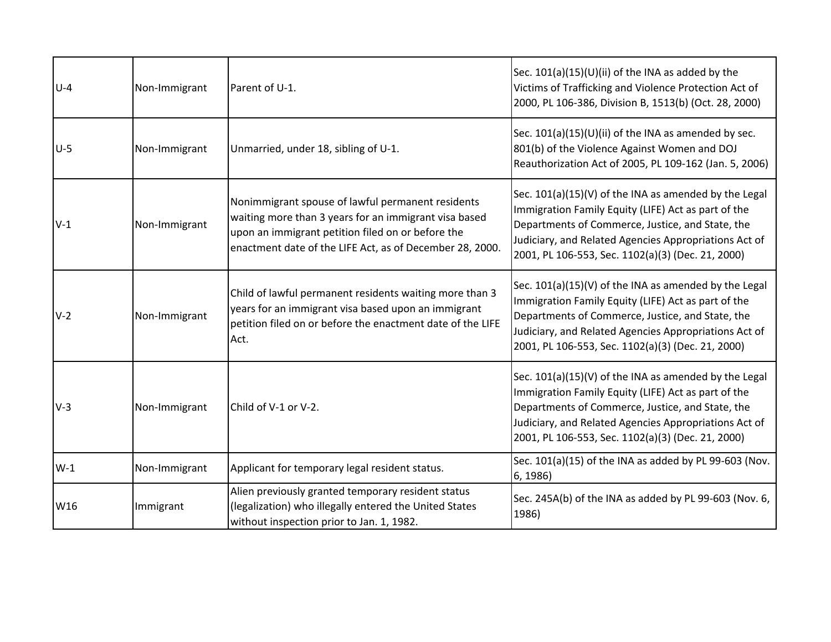| $U-4$ | Non-Immigrant | Parent of U-1.                                                                                                                                                                                                              | Sec. 101(a)(15)(U)(ii) of the INA as added by the<br>Victims of Trafficking and Violence Protection Act of<br>2000, PL 106-386, Division B, 1513(b) (Oct. 28, 2000)                                                                                                            |
|-------|---------------|-----------------------------------------------------------------------------------------------------------------------------------------------------------------------------------------------------------------------------|--------------------------------------------------------------------------------------------------------------------------------------------------------------------------------------------------------------------------------------------------------------------------------|
| $U-5$ | Non-Immigrant | Unmarried, under 18, sibling of U-1.                                                                                                                                                                                        | Sec. $101(a)(15)(U)(ii)$ of the INA as amended by sec.<br>801(b) of the Violence Against Women and DOJ<br>Reauthorization Act of 2005, PL 109-162 (Jan. 5, 2006)                                                                                                               |
| $V-1$ | Non-Immigrant | Nonimmigrant spouse of lawful permanent residents<br>waiting more than 3 years for an immigrant visa based<br>upon an immigrant petition filed on or before the<br>enactment date of the LIFE Act, as of December 28, 2000. | Sec. 101(a)(15)(V) of the INA as amended by the Legal<br>Immigration Family Equity (LIFE) Act as part of the<br>Departments of Commerce, Justice, and State, the<br>Judiciary, and Related Agencies Appropriations Act of<br>2001, PL 106-553, Sec. 1102(a)(3) (Dec. 21, 2000) |
| $V-2$ | Non-Immigrant | Child of lawful permanent residents waiting more than 3<br>years for an immigrant visa based upon an immigrant<br>petition filed on or before the enactment date of the LIFE<br>Act.                                        | Sec. 101(a)(15)(V) of the INA as amended by the Legal<br>Immigration Family Equity (LIFE) Act as part of the<br>Departments of Commerce, Justice, and State, the<br>Judiciary, and Related Agencies Appropriations Act of<br>2001, PL 106-553, Sec. 1102(a)(3) (Dec. 21, 2000) |
| $V-3$ | Non-Immigrant | Child of V-1 or V-2.                                                                                                                                                                                                        | Sec. 101(a)(15)(V) of the INA as amended by the Legal<br>Immigration Family Equity (LIFE) Act as part of the<br>Departments of Commerce, Justice, and State, the<br>Judiciary, and Related Agencies Appropriations Act of<br>2001, PL 106-553, Sec. 1102(a)(3) (Dec. 21, 2000) |
| $W-1$ | Non-Immigrant | Applicant for temporary legal resident status.                                                                                                                                                                              | Sec. 101(a)(15) of the INA as added by PL 99-603 (Nov.<br>6, 1986)                                                                                                                                                                                                             |
| W16   | Immigrant     | Alien previously granted temporary resident status<br>(legalization) who illegally entered the United States<br>without inspection prior to Jan. 1, 1982.                                                                   | Sec. 245A(b) of the INA as added by PL 99-603 (Nov. 6,<br>1986)                                                                                                                                                                                                                |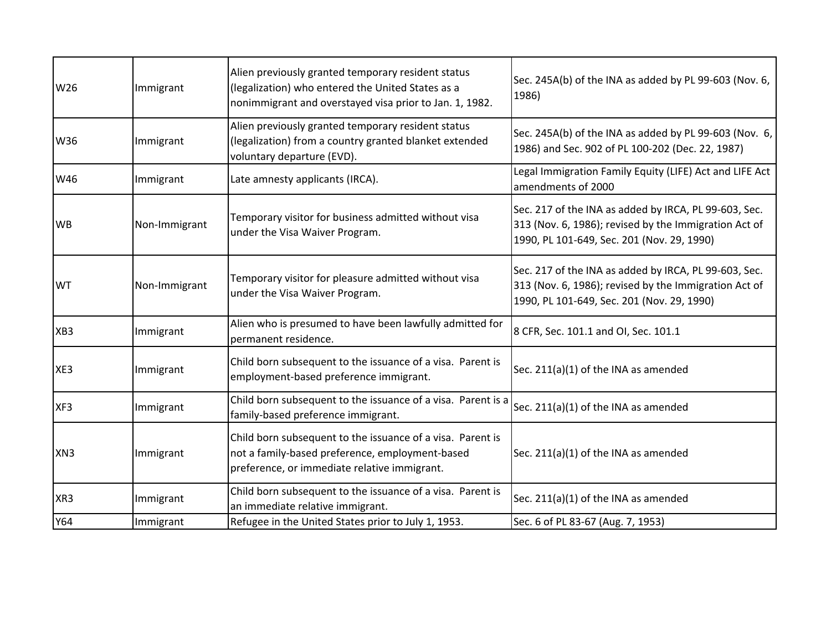| W26             | Immigrant     | Alien previously granted temporary resident status<br>(legalization) who entered the United States as a<br>nonimmigrant and overstayed visa prior to Jan. 1, 1982. | Sec. 245A(b) of the INA as added by PL 99-603 (Nov. 6,<br>1986)                                                                                              |
|-----------------|---------------|--------------------------------------------------------------------------------------------------------------------------------------------------------------------|--------------------------------------------------------------------------------------------------------------------------------------------------------------|
| W36             | Immigrant     | Alien previously granted temporary resident status<br>(legalization) from a country granted blanket extended<br>voluntary departure (EVD).                         | Sec. 245A(b) of the INA as added by PL 99-603 (Nov. 6,<br>1986) and Sec. 902 of PL 100-202 (Dec. 22, 1987)                                                   |
| W46             | Immigrant     | Late amnesty applicants (IRCA).                                                                                                                                    | Legal Immigration Family Equity (LIFE) Act and LIFE Act<br>amendments of 2000                                                                                |
| <b>WB</b>       | Non-Immigrant | Temporary visitor for business admitted without visa<br>under the Visa Waiver Program.                                                                             | Sec. 217 of the INA as added by IRCA, PL 99-603, Sec.<br>313 (Nov. 6, 1986); revised by the Immigration Act of<br>1990, PL 101-649, Sec. 201 (Nov. 29, 1990) |
| <b>WT</b>       | Non-Immigrant | Temporary visitor for pleasure admitted without visa<br>under the Visa Waiver Program.                                                                             | Sec. 217 of the INA as added by IRCA, PL 99-603, Sec.<br>313 (Nov. 6, 1986); revised by the Immigration Act of<br>1990, PL 101-649, Sec. 201 (Nov. 29, 1990) |
| XB <sub>3</sub> | Immigrant     | Alien who is presumed to have been lawfully admitted for<br>permanent residence.                                                                                   | 8 CFR, Sec. 101.1 and OI, Sec. 101.1                                                                                                                         |
| XE3             | Immigrant     | Child born subsequent to the issuance of a visa. Parent is<br>employment-based preference immigrant.                                                               | Sec. 211(a)(1) of the INA as amended                                                                                                                         |
| XF3             | Immigrant     | Child born subsequent to the issuance of a visa. Parent is a<br>family-based preference immigrant.                                                                 | Sec. 211(a)(1) of the INA as amended                                                                                                                         |
| XN3             | Immigrant     | Child born subsequent to the issuance of a visa. Parent is<br>not a family-based preference, employment-based<br>preference, or immediate relative immigrant.      | Sec. 211(a)(1) of the INA as amended                                                                                                                         |
| XR <sub>3</sub> | Immigrant     | Child born subsequent to the issuance of a visa. Parent is<br>an immediate relative immigrant.                                                                     | Sec. 211(a)(1) of the INA as amended                                                                                                                         |
| Y64             | Immigrant     | Refugee in the United States prior to July 1, 1953.                                                                                                                | Sec. 6 of PL 83-67 (Aug. 7, 1953)                                                                                                                            |